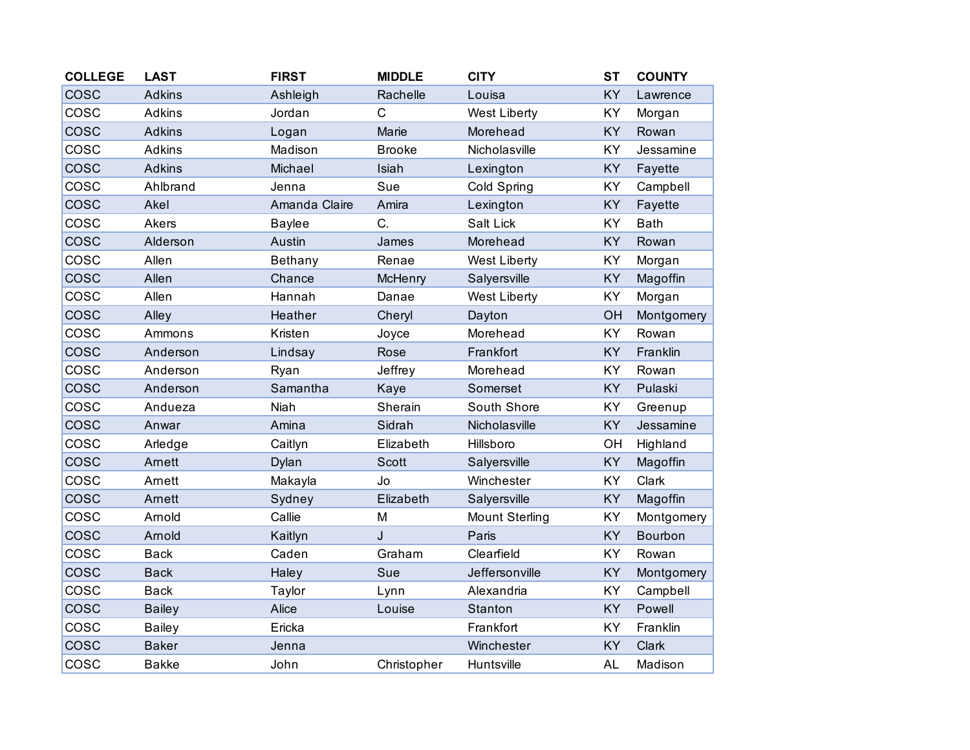| <b>COLLEGE</b> | <b>LAST</b>   | <b>FIRST</b>  | <b>MIDDLE</b>  | <b>CITY</b>           | <b>ST</b> | <b>COUNTY</b> |
|----------------|---------------|---------------|----------------|-----------------------|-----------|---------------|
| COSC           | <b>Adkins</b> | Ashleigh      | Rachelle       | Louisa                | KY        | Lawrence      |
| cosc           | <b>Adkins</b> | Jordan        | $\mathsf{C}$   | <b>West Liberty</b>   | KY        | Morgan        |
| <b>COSC</b>    | <b>Adkins</b> | Logan         | Marie          | Morehead              | KY        | Rowan         |
| COSC           | Adkins        | Madison       | <b>Brooke</b>  | Nicholasville         | KY        | Jessamine     |
| COSC           | <b>Adkins</b> | Michael       | Isiah          | Lexington             | KY        | Fayette       |
| COSC           | Ahlbrand      | Jenna         | Sue            | Cold Spring           | KY        | Campbell      |
| cosc           | Akel          | Amanda Claire | Amira          | Lexington             | KY        | Fayette       |
| COSC           | Akers         | <b>Baylee</b> | C.             | Salt Lick             | KY        | <b>Bath</b>   |
| <b>COSC</b>    | Alderson      | Austin        | James          | Morehead              | KY        | Rowan         |
| COSC           | Allen         | Bethany       | Renae          | <b>West Liberty</b>   | KY        | Morgan        |
| <b>COSC</b>    | Allen         | Chance        | <b>McHenry</b> | Salyersville          | KY        | Magoffin      |
| COSC           | Allen         | Hannah        | Danae          | West Liberty          | KY        | Morgan        |
| cosc           | Alley         | Heather       | Cheryl         | Dayton                | OH        | Montgomery    |
| COSC           | Ammons        | Kristen       | Joyce          | Morehead              | KY        | Rowan         |
| <b>COSC</b>    | Anderson      | Lindsay       | Rose           | Frankfort             | KY        | Franklin      |
| COSC           | Anderson      | Ryan          | Jeffrey        | Morehead              | KY        | Rowan         |
| cosc           | Anderson      | Samantha      | Kaye           | Somerset              | KY        | Pulaski       |
| COSC           | Andueza       | Niah          | Sherain        | South Shore           | KY        | Greenup       |
| COSC           | Anwar         | Amina         | Sidrah         | Nicholasville         | KY        | Jessamine     |
| cosc           | Arledge       | Caitlyn       | Elizabeth      | Hillsboro             | OH        | Highland      |
| <b>COSC</b>    | Arnett        | Dylan         | <b>Scott</b>   | Salyersville          | KY        | Magoffin      |
| COSC           | Arnett        | Makayla       | Jo             | Winchester            | KY        | Clark         |
| COSC           | Arnett        | Sydney        | Elizabeth      | Salyersville          | KY        | Magoffin      |
| COSC           | Arnold        | Callie        | M              | <b>Mount Sterling</b> | KY        | Montgomery    |
| cosc           | Arnold        | Kaitlyn       | J              | Paris                 | <b>KY</b> | Bourbon       |
| COSC           | <b>Back</b>   | Caden         | Graham         | Clearfield            | KY        | Rowan         |
| <b>COSC</b>    | <b>Back</b>   | Haley         | Sue            | Jeffersonville        | KY        | Montgomery    |
| COSC           | <b>Back</b>   | Taylor        | Lynn           | Alexandria            | KY        | Campbell      |
| cosc           | <b>Bailey</b> | Alice         | Louise         | Stanton               | KY        | Powell        |
| COSC           | <b>Bailey</b> | Ericka        |                | Frankfort             | KY        | Franklin      |
| <b>COSC</b>    | <b>Baker</b>  | Jenna         |                | Winchester            | KY        | Clark         |
| COSC           | <b>Bakke</b>  | John          | Christopher    | Huntsville            | <b>AL</b> | Madison       |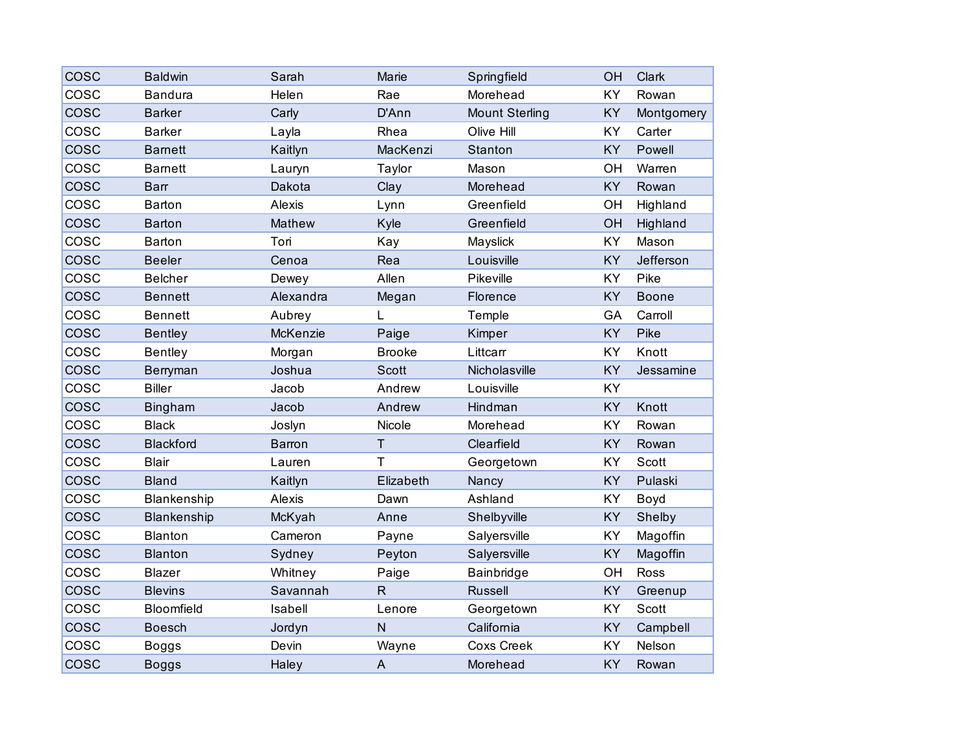| COSC        | <b>Baldwin</b>   | Sarah         | Marie         | Springfield           | OH        | Clark        |
|-------------|------------------|---------------|---------------|-----------------------|-----------|--------------|
| COSC        | <b>Bandura</b>   | Helen         | Rae           | Morehead              | KY        | Rowan        |
| COSC        | <b>Barker</b>    | Carly         | D'Ann         | <b>Mount Sterling</b> | <b>KY</b> | Montgomery   |
| COSC        | <b>Barker</b>    | Layla         | Rhea          | Olive Hill            | <b>KY</b> | Carter       |
| <b>COSC</b> | <b>Barnett</b>   | Kaitlyn       | MacKenzi      | Stanton               | KY        | Powell       |
| cosc        | <b>Barnett</b>   | Lauryn        | Taylor        | Mason                 | OH        | Warren       |
| cosc        | <b>Barr</b>      | Dakota        | Clay          | Morehead              | <b>KY</b> | Rowan        |
| COSC        | <b>Barton</b>    | Alexis        | Lynn          | Greenfield            | OH        | Highland     |
| <b>COSC</b> | <b>Barton</b>    | Mathew        | Kyle          | Greenfield            | OH        | Highland     |
| COSC        | Barton           | Tori          | Kay           | Mayslick              | KY        | Mason        |
| cosc        | <b>Beeler</b>    | Cenoa         | Rea           | Louisville            | <b>KY</b> | Jefferson    |
| COSC        | <b>Belcher</b>   | Dewey         | Allen         | Pikeville             | <b>KY</b> | Pike         |
| cosc        | <b>Bennett</b>   | Alexandra     | Megan         | Florence              | KY        | <b>Boone</b> |
| cosc        | <b>Bennett</b>   | Aubrey        | L             | Temple                | GA        | Carroll      |
| <b>COSC</b> | <b>Bentley</b>   | McKenzie      | Paige         | Kimper                | <b>KY</b> | Pike         |
| COSC        | <b>Bentley</b>   | Morgan        | <b>Brooke</b> | Littcarr              | <b>KY</b> | Knott        |
| <b>COSC</b> | Berryman         | Joshua        | <b>Scott</b>  | Nicholasville         | KY        | Jessamine    |
| cosc        | <b>Biller</b>    | Jacob         | Andrew        | Louisville            | KY        |              |
| COSC        | <b>Bingham</b>   | Jacob         | Andrew        | Hindman               | KY        | Knott        |
| COSC        | <b>Black</b>     | Joslyn        | Nicole        | Morehead              | KY        | Rowan        |
| <b>COSC</b> | <b>Blackford</b> | <b>Barron</b> | $\mathsf T$   | Clearfield            | KY        | Rowan        |
| COSC        | <b>Blair</b>     | Lauren        | $\mathsf{T}$  | Georgetown            | KY        | Scott        |
| COSC        | <b>Bland</b>     | Kaitlyn       | Elizabeth     | Nancy                 | <b>KY</b> | Pulaski      |
| COSC        | Blankenship      | Alexis        | Dawn          | Ashland               | <b>KY</b> | Boyd         |
| <b>COSC</b> | Blankenship      | McKyah        | Anne          | Shelbyville           | KY        | Shelby       |
| cosc        | <b>Blanton</b>   | Cameron       | Payne         | Salyersville          | KY        | Magoffin     |
| COSC        | <b>Blanton</b>   | Sydney        | Peyton        | Salyersville          | <b>KY</b> | Magoffin     |
| cosc        | <b>Blazer</b>    | Whitney       | Paige         | Bainbridge            | OH        | Ross         |
| <b>COSC</b> | <b>Blevins</b>   | Savannah      | $\mathsf{R}$  | Russell               | KY        | Greenup      |
| cosc        | Bloomfield       | Isabell       | Lenore        | Georgetown            | KY        | Scott        |
| COSC        | <b>Boesch</b>    | Jordyn        | $\mathsf{N}$  | California            | <b>KY</b> | Campbell     |
| COSC        | <b>Boggs</b>     | Devin         | Wayne         | <b>Coxs Creek</b>     | <b>KY</b> | Nelson       |
| <b>COSC</b> | <b>Boggs</b>     | Haley         | $\mathsf{A}$  | Morehead              | KY        | Rowan        |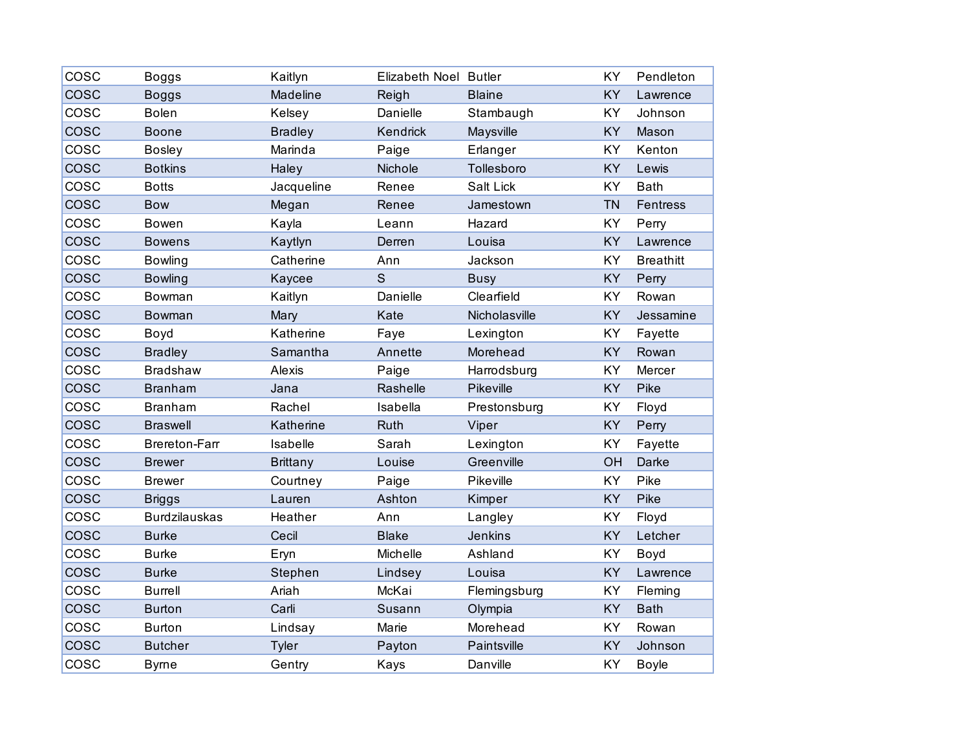| COSC        | <b>Boggs</b>         | Kaitlyn         | Elizabeth Noel Butler |               | KY        | Pendleton        |
|-------------|----------------------|-----------------|-----------------------|---------------|-----------|------------------|
| <b>COSC</b> | <b>Boggs</b>         | Madeline        | Reigh                 | <b>Blaine</b> | KY        | Lawrence         |
| COSC        | <b>Bolen</b>         | Kelsey          | Danielle              | Stambaugh     | KY        | Johnson          |
| COSC        | <b>Boone</b>         | <b>Bradley</b>  | Kendrick              | Maysville     | KY        | Mason            |
| COSC        | <b>Bosley</b>        | Marinda         | Paige                 | Erlanger      | KY        | Kenton           |
| COSC        | <b>Botkins</b>       | Haley           | Nichole               | Tollesboro    | KY        | Lewis            |
| COSC        | <b>Botts</b>         | Jacqueline      | Renee                 | Salt Lick     | KY        | <b>Bath</b>      |
| COSC        | <b>Bow</b>           | Megan           | Renee                 | Jamestown     | <b>TN</b> | <b>Fentress</b>  |
| <b>COSC</b> | <b>Bowen</b>         | Kayla           | Leann                 | Hazard        | KY        | Perry            |
| <b>COSC</b> | <b>Bowens</b>        | Kaytlyn         | Derren                | Louisa        | <b>KY</b> | Lawrence         |
| COSC        | <b>Bowling</b>       | Catherine       | Ann                   | Jackson       | KY        | <b>Breathitt</b> |
| COSC        | <b>Bowling</b>       | Kaycee          | $\mathsf S$           | <b>Busy</b>   | KY        | Perry            |
| cosc        | Bowman               | Kaitlyn         | Danielle              | Clearfield    | KY        | Rowan            |
| cosc        | <b>Bowman</b>        | Mary            | Kate                  | Nicholasville | <b>KY</b> | Jessamine        |
| COSC        | Boyd                 | Katherine       | Faye                  | Lexington     | KY        | Fayette          |
| COSC        | <b>Bradley</b>       | Samantha        | Annette               | Morehead      | KY        | Rowan            |
| COSC        | <b>Bradshaw</b>      | Alexis          | Paige                 | Harrodsburg   | KY        | Mercer           |
| cosc        | <b>Branham</b>       | Jana            | Rashelle              | Pikeville     | KY        | Pike             |
| COSC        | <b>Branham</b>       | Rachel          | Isabella              | Prestonsburg  | KY        | Floyd            |
| COSC        | <b>Braswell</b>      | Katherine       | Ruth                  | Viper         | KY        | Perry            |
| COSC        | <b>Brereton-Farr</b> | Isabelle        | Sarah                 | Lexington     | KY        | Fayette          |
| <b>COSC</b> | <b>Brewer</b>        | <b>Brittany</b> | Louise                | Greenville    | OH        | Darke            |
| COSC        | <b>Brewer</b>        | Courtney        | Paige                 | Pikeville     | KY        | Pike             |
| cosc        | <b>Briggs</b>        | Lauren          | Ashton                | Kimper        | KY        | Pike             |
| cosc        | <b>Burdzilauskas</b> | Heather         | Ann                   | Langley       | KY        | Floyd            |
| cosc        | <b>Burke</b>         | Cecil           | <b>Blake</b>          | Jenkins       | KY        | Letcher          |
| COSC        | <b>Burke</b>         | Eryn            | Michelle              | Ashland       | KY        | Boyd             |
| cosc        | <b>Burke</b>         | Stephen         | Lindsey               | Louisa        | KY        | Lawrence         |
| COSC        | <b>Burrell</b>       | Ariah           | McKai                 | Flemingsburg  | KY        | Fleming          |
| cosc        | <b>Burton</b>        | Carli           | Susann                | Olympia       | KY        | <b>Bath</b>      |
| COSC        | <b>Burton</b>        | Lindsay         | Marie                 | Morehead      | KY        | Rowan            |
| <b>COSC</b> | <b>Butcher</b>       | Tyler           | Payton                | Paintsville   | KY        | Johnson          |
| COSC        | <b>Byrne</b>         | Gentry          | Kays                  | Danville      | KY        | <b>Boyle</b>     |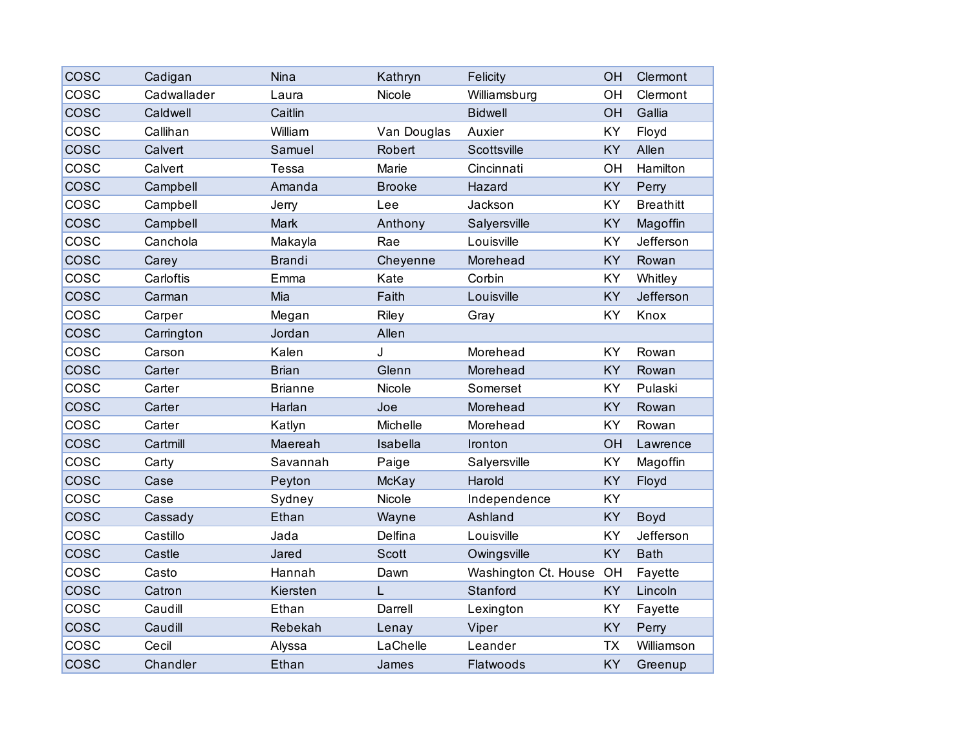| COSC        | Cadigan     | Nina           | Kathryn       | Felicity             | OH        | Clermont         |
|-------------|-------------|----------------|---------------|----------------------|-----------|------------------|
| COSC        | Cadwallader | Laura          | Nicole        | Williamsburg         | OH        | Clermont         |
| cosc        | Caldwell    | Caitlin        |               | <b>Bidwell</b>       | OH        | Gallia           |
| COSC        | Callihan    | William        | Van Douglas   | Auxier               | KY        | Floyd            |
| <b>COSC</b> | Calvert     | Samuel         | Robert        | Scottsville          | KY        | Allen            |
| COSC        | Calvert     | Tessa          | Marie         | Cincinnati           | OH        | Hamilton         |
| cosc        | Campbell    | Amanda         | <b>Brooke</b> | Hazard               | KY        | Perry            |
| COSC        | Campbell    | Jerry          | Lee           | Jackson              | KY        | <b>Breathitt</b> |
| <b>COSC</b> | Campbell    | Mark           | Anthony       | Salyersville         | KY        | Magoffin         |
| COSC        | Canchola    | Makayla        | Rae           | Louisville           | KY        | Jefferson        |
| cosc        | Carey       | <b>Brandi</b>  | Cheyenne      | Morehead             | KY        | Rowan            |
| COSC        | Carloftis   | Emma           | Kate          | Corbin               | KY        | Whitley          |
| <b>COSC</b> | Carman      | Mia            | Faith         | Louisville           | KY        | Jefferson        |
| COSC        | Carper      | Megan          | Riley         | Gray                 | KY        | Knox             |
| <b>COSC</b> | Carrington  | Jordan         | Allen         |                      |           |                  |
| COSC        | Carson      | Kalen          | J             | Morehead             | KY        | Rowan            |
| <b>COSC</b> | Carter      | <b>Brian</b>   | Glenn         | Morehead             | KY        | Rowan            |
| cosc        | Carter      | <b>Brianne</b> | Nicole        | Somerset             | KY        | Pulaski          |
| COSC        | Carter      | Harlan         | Joe           | Morehead             | KY        | Rowan            |
| COSC        | Carter      | Katlyn         | Michelle      | Morehead             | KY        | Rowan            |
| <b>COSC</b> | Cartmill    | Maereah        | Isabella      | Ironton              | OH        | Lawrence         |
| COSC        | Carty       | Savannah       | Paige         | Salyersville         | KY        | Magoffin         |
| <b>COSC</b> | Case        | Peyton         | McKay         | Harold               | KY        | Floyd            |
| COSC        | Case        | Sydney         | Nicole        | Independence         | KY        |                  |
| cosc        | Cassady     | Ethan          | Wayne         | Ashland              | KY        | Boyd             |
| COSC        | Castillo    | Jada           | Delfina       | Louisville           | KY        | Jefferson        |
| <b>COSC</b> | Castle      | Jared          | <b>Scott</b>  | Owingsville          | KY        | <b>Bath</b>      |
| COSC        | Casto       | Hannah         | Dawn          | Washington Ct. House | OH        | Fayette          |
| cosc        | Catron      | Kiersten       | L             | Stanford             | KY        | Lincoln          |
| COSC        | Caudill     | Ethan          | Darrell       | Lexington            | KY        | Fayette          |
| <b>COSC</b> | Caudill     | Rebekah        | Lenay         | Viper                | KY        | Perry            |
| COSC        | Cecil       | Alyssa         | LaChelle      | Leander              | <b>TX</b> | Williamson       |
| cosc        | Chandler    | Ethan          | James         | Flatwoods            | KY        | Greenup          |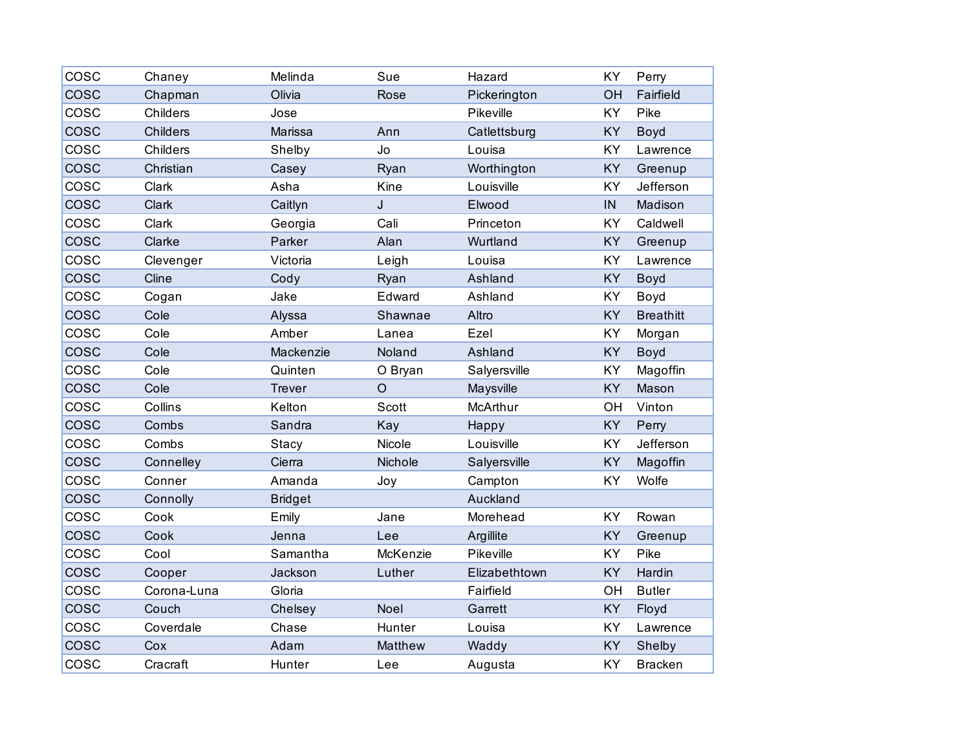| COSC        | Chaney          | Melinda        | Sue      | Hazard        | KY        | Perry            |
|-------------|-----------------|----------------|----------|---------------|-----------|------------------|
| <b>COSC</b> | Chapman         | Olivia         | Rose     | Pickerington  | OH        | Fairfield        |
| cosc        | Childers        | Jose           |          | Pikeville     | KY        | Pike             |
| <b>COSC</b> | <b>Childers</b> | Marissa        | Ann      | Catlettsburg  | KY        | Boyd             |
| COSC        | Childers        | Shelby         | Jo       | Louisa        | KY        | Lawrence         |
| <b>COSC</b> | Christian       | Casey          | Ryan     | Worthington   | KY        | Greenup          |
| COSC        | Clark           | Asha           | Kine     | Louisville    | KY        | Jefferson        |
| <b>COSC</b> | Clark           | Caitlyn        | J        | Elwood        | IN        | Madison          |
| COSC        | Clark           | Georgia        | Cali     | Princeton     | <b>KY</b> | Caldwell         |
| <b>COSC</b> | Clarke          | Parker         | Alan     | Wurtland      | KY        | Greenup          |
| COSC        | Clevenger       | Victoria       | Leigh    | Louisa        | KY        | Lawrence         |
| <b>COSC</b> | Cline           | Cody           | Ryan     | Ashland       | KY        | <b>Boyd</b>      |
| COSC        | Cogan           | Jake           | Edward   | Ashland       | KY        | Boyd             |
| <b>COSC</b> | Cole            | Alyssa         | Shawnae  | Altro         | <b>KY</b> | <b>Breathitt</b> |
| COSC        | Cole            | Amber          | Lanea    | Ezel          | KY        | Morgan           |
| <b>COSC</b> | Cole            | Mackenzie      | Noland   | Ashland       | KY        | Boyd             |
| COSC        | Cole            | Quinten        | O Bryan  | Salyersville  | KY        | Magoffin         |
| cosc        | Cole            | <b>Trever</b>  | $\circ$  | Maysville     | <b>KY</b> | Mason            |
| COSC        | Collins         | Kelton         | Scott    | McArthur      | OH        | Vinton           |
| <b>COSC</b> | Combs           | Sandra         | Kay      | Happy         | KY        | Perry            |
| COSC        | Combs           | Stacy          | Nicole   | Louisville    | KY        | Jefferson        |
| <b>COSC</b> | Connelley       | Cierra         | Nichole  | Salyersville  | KY        | Magoffin         |
| COSC        | Conner          | Amanda         | Joy      | Campton       | KY        | Wolfe            |
| COSC        | Connolly        | <b>Bridget</b> |          | Auckland      |           |                  |
| COSC        | Cook            | Emily          | Jane     | Morehead      | KY        | Rowan            |
| <b>COSC</b> | Cook            | Jenna          | Lee      | Argillite     | KY        | Greenup          |
| COSC        | Cool            | Samantha       | McKenzie | Pikeville     | KY        | Pike             |
| <b>COSC</b> | Cooper          | Jackson        | Luther   | Elizabethtown | KY        | Hardin           |
| cosc        | Corona-Luna     | Gloria         |          | Fairfield     | OH        | <b>Butler</b>    |
| <b>COSC</b> | Couch           | Chelsey        | Noel     | Garrett       | <b>KY</b> | Floyd            |
| COSC        | Coverdale       | Chase          | Hunter   | Louisa        | KY        | Lawrence         |
| <b>COSC</b> | Cox             | Adam           | Matthew  | Waddy         | KY        | Shelby           |
| COSC        | Cracraft        | Hunter         | Lee      | Augusta       | KY        | <b>Bracken</b>   |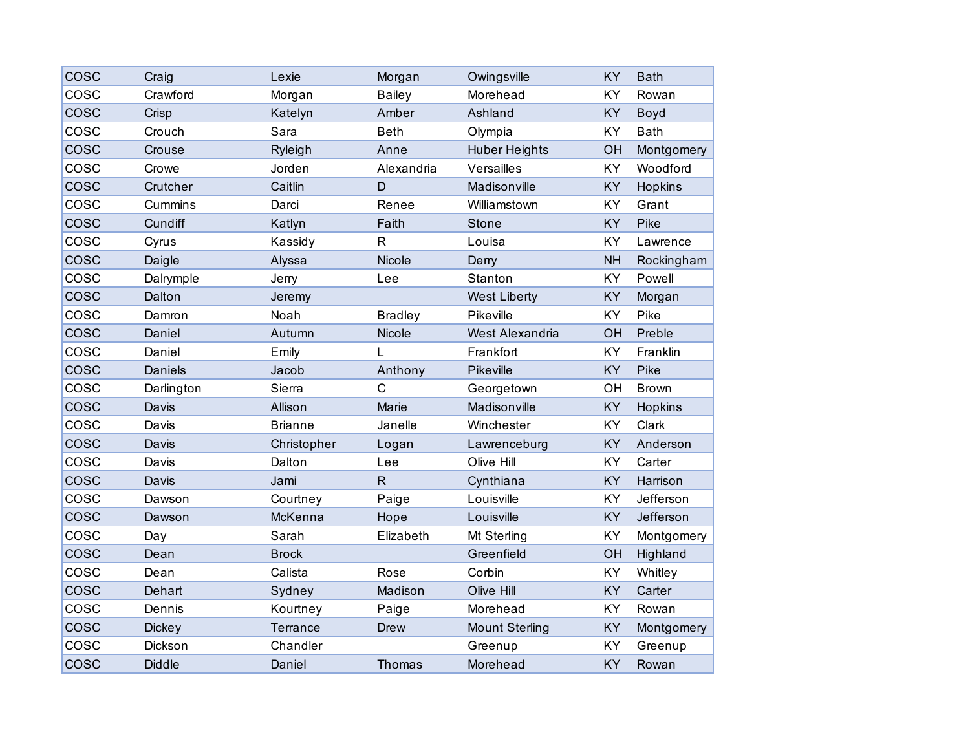| COSC        | Craig          | Lexie          | Morgan         | Owingsville           | KY        | <b>Bath</b>    |
|-------------|----------------|----------------|----------------|-----------------------|-----------|----------------|
| COSC        | Crawford       | Morgan         | <b>Bailey</b>  | Morehead              | <b>KY</b> | Rowan          |
| COSC        | Crisp          | Katelyn        | Amber          | Ashland               | <b>KY</b> | Boyd           |
| COSC        | Crouch         | Sara           | <b>Beth</b>    | Olympia               | KY        | <b>Bath</b>    |
| COSC        | Crouse         | Ryleigh        | Anne           | <b>Huber Heights</b>  | OH        | Montgomery     |
| COSC        | Crowe          | Jorden         | Alexandria     | Versailles            | KY        | Woodford       |
| cosc        | Crutcher       | Caitlin        | D              | Madisonville          | <b>KY</b> | Hopkins        |
| COSC        | Cummins        | Darci          | Renee          | Williamstown          | <b>KY</b> | Grant          |
| <b>COSC</b> | Cundiff        | Katlyn         | Faith          | <b>Stone</b>          | <b>KY</b> | Pike           |
| COSC        | Cyrus          | Kassidy        | $\overline{R}$ | Louisa                | KY        | Lawrence       |
| <b>COSC</b> | Daigle         | Alyssa         | Nicole         | Derry                 | <b>NH</b> | Rockingham     |
| COSC        | Dalrymple      | Jerry          | Lee            | Stanton               | <b>KY</b> | Powell         |
| <b>COSC</b> | Dalton         | Jeremy         |                | <b>West Liberty</b>   | KY        | Morgan         |
| COSC        | Damron         | Noah           | <b>Bradley</b> | Pikeville             | <b>KY</b> | Pike           |
| <b>COSC</b> | Daniel         | Autumn         | Nicole         | West Alexandria       | OH        | Preble         |
| COSC        | Daniel         | Emily          | L              | Frankfort             | <b>KY</b> | Franklin       |
| <b>COSC</b> | <b>Daniels</b> | Jacob          | Anthony        | Pikeville             | <b>KY</b> | Pike           |
| cosc        | Darlington     | Sierra         | $\mathsf C$    | Georgetown            | OH        | <b>Brown</b>   |
| COSC        | Davis          | Allison        | Marie          | Madisonville          | <b>KY</b> | <b>Hopkins</b> |
| COSC        | Davis          | <b>Brianne</b> | Janelle        | Winchester            | KY        | Clark          |
| <b>COSC</b> | Davis          | Christopher    | Logan          | Lawrenceburg          | KY        | Anderson       |
| cosc        | Davis          | Dalton         | Lee            | Olive Hill            | KY        | Carter         |
| COSC        | Davis          | Jami           | $\mathsf{R}$   | Cynthiana             | <b>KY</b> | Harrison       |
| COSC        | Dawson         | Courtney       | Paige          | Louisville            | <b>KY</b> | Jefferson      |
| <b>COSC</b> | Dawson         | McKenna        | Hope           | Louisville            | KY        | Jefferson      |
| cosc        | Day            | Sarah          | Elizabeth      | Mt Sterling           | KY        | Montgomery     |
| COSC        | Dean           | <b>Brock</b>   |                | Greenfield            | OH        | Highland       |
| cosc        | Dean           | Calista        | Rose           | Corbin                | KY        | Whitley        |
| <b>COSC</b> | Dehart         | Sydney         | Madison        | Olive Hill            | <b>KY</b> | Carter         |
| cosc        | Dennis         | Kourtney       | Paige          | Morehead              | <b>KY</b> | Rowan          |
| <b>COSC</b> | <b>Dickey</b>  | Terrance       | Drew           | <b>Mount Sterling</b> | <b>KY</b> | Montgomery     |
| COSC        | Dickson        | Chandler       |                | Greenup               | KY        | Greenup        |
| <b>COSC</b> | <b>Diddle</b>  | Daniel         | Thomas         | Morehead              | KY        | Rowan          |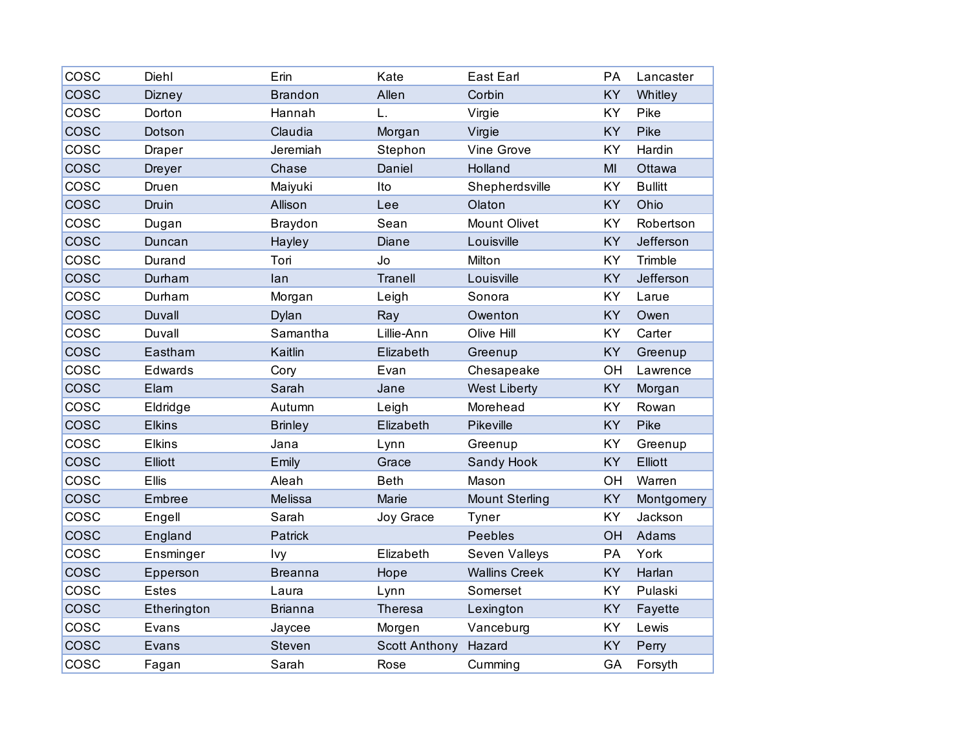| COSC        | Diehl         | Erin           | Kate                 | <b>East Earl</b>      | PA        | Lancaster      |
|-------------|---------------|----------------|----------------------|-----------------------|-----------|----------------|
| cosc        | <b>Dizney</b> | <b>Brandon</b> | Allen                | Corbin                | KY        | Whitley        |
| COSC        | Dorton        | Hannah         | L.                   | Virgie                | KY        | Pike           |
| COSC        | Dotson        | Claudia        | Morgan               | Virgie                | <b>KY</b> | Pike           |
| COSC        | Draper        | Jeremiah       | Stephon              | Vine Grove            | KY        | Hardin         |
| cosc        | Dreyer        | Chase          | Daniel               | Holland               | MI        | Ottawa         |
| COSC        | Druen         | Maiyuki        | Ito                  | Shepherdsville        | KY        | <b>Bullitt</b> |
| <b>COSC</b> | Druin         | Allison        | Lee                  | Olaton                | KY        | Ohio           |
| COSC        | Dugan         | <b>Braydon</b> | Sean                 | <b>Mount Olivet</b>   | KY        | Robertson      |
| cosc        | Duncan        | Hayley         | Diane                | Louisville            | KY        | Jefferson      |
| COSC        | Durand        | Tori           | Jo                   | Milton                | KY        | Trimble        |
| <b>COSC</b> | Durham        | lan            | <b>Tranell</b>       | Louisville            | KY        | Jefferson      |
| COSC        | Durham        | Morgan         | Leigh                | Sonora                | KY        | Larue          |
| cosc        | <b>Duvall</b> | Dylan          | Ray                  | Owenton               | KY        | Owen           |
| cosc        | Duvall        | Samantha       | Lillie-Ann           | Olive Hill            | KY        | Carter         |
| <b>COSC</b> | Eastham       | Kaitlin        | Elizabeth            | Greenup               | KY        | Greenup        |
| cosc        | Edwards       | Cory           | Evan                 | Chesapeake            | OH        | Lawrence       |
| cosc        | Elam          | Sarah          | Jane                 | <b>West Liberty</b>   | KY        | Morgan         |
| COSC        | Eldridge      | Autumn         | Leigh                | Morehead              | KY        | Rowan          |
| <b>COSC</b> | <b>Elkins</b> | <b>Brinley</b> | Elizabeth            | Pikeville             | KY        | Pike           |
| COSC        | <b>Elkins</b> | Jana           | Lynn                 | Greenup               | KY        | Greenup        |
| cosc        | Elliott       | Emily          | Grace                | Sandy Hook            | KY        | Elliott        |
| COSC        | <b>Ellis</b>  | Aleah          | <b>Beth</b>          | Mason                 | OH        | Warren         |
| <b>COSC</b> | Embree        | Melissa        | Marie                | <b>Mount Sterling</b> | KY        | Montgomery     |
| COSC        | Engell        | Sarah          | Joy Grace            | Tyner                 | KY        | Jackson        |
| cosc        | England       | Patrick        |                      | Peebles               | OH        | Adams          |
| COSC        | Ensminger     | Ivy            | Elizabeth            | Seven Valleys         | PA        | York           |
| <b>COSC</b> | Epperson      | <b>Breanna</b> | Hope                 | <b>Wallins Creek</b>  | KY        | Harlan         |
| COSC        | Estes         | Laura          | Lynn                 | Somerset              | KY        | Pulaski        |
| cosc        | Etherington   | <b>Brianna</b> | Theresa              | Lexington             | KY        | Fayette        |
| COSC        | Evans         | Jaycee         | Morgen               | Vanceburg             | KY        | Lewis          |
| <b>COSC</b> | Evans         | Steven         | <b>Scott Anthony</b> | Hazard                | KY        | Perry          |
| COSC        | Fagan         | Sarah          | Rose                 | Cumming               | GA        | Forsyth        |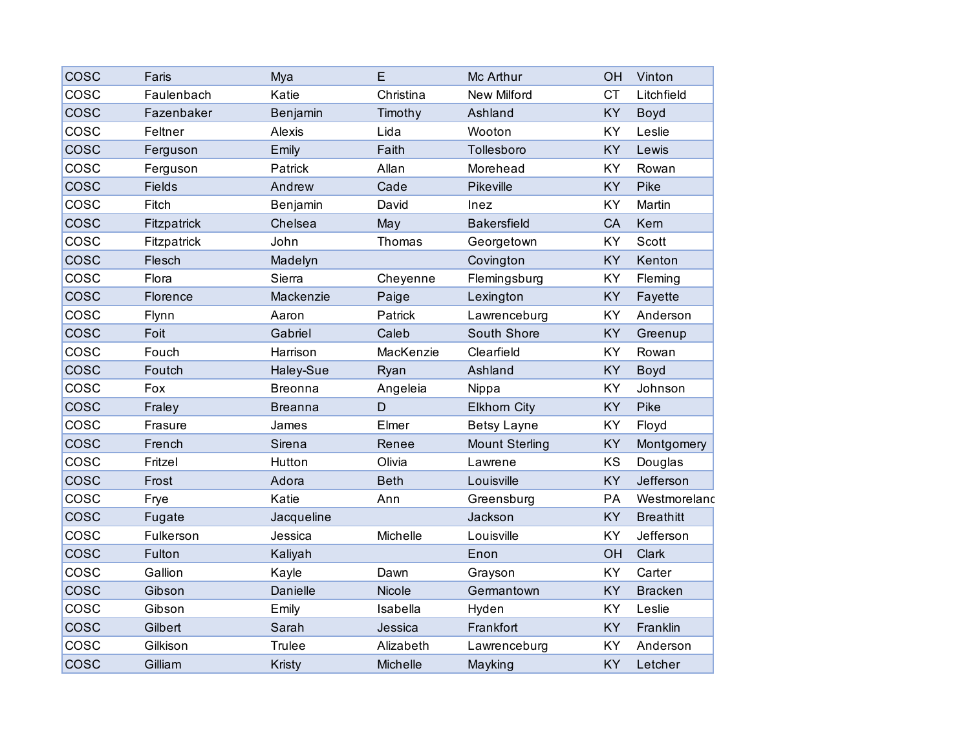| <b>COSC</b> | Faris         | Mya            | Е           | Mc Arthur             | OH        | Vinton           |
|-------------|---------------|----------------|-------------|-----------------------|-----------|------------------|
| COSC        | Faulenbach    | Katie          | Christina   | <b>New Milford</b>    | <b>CT</b> | Litchfield       |
| <b>COSC</b> | Fazenbaker    | Benjamin       | Timothy     | Ashland               | KY        | Boyd             |
| COSC        | Feltner       | Alexis         | Lida        | Wooton                | KY        | Leslie           |
| <b>COSC</b> | Ferguson      | Emily          | Faith       | Tollesboro            | KY        | Lewis            |
| COSC        | Ferguson      | Patrick        | Allan       | Morehead              | KY        | Rowan            |
| <b>COSC</b> | <b>Fields</b> | Andrew         | Cade        | Pikeville             | KY        | Pike             |
| COSC        | Fitch         | Benjamin       | David       | Inez                  | KY        | Martin           |
| cosc        | Fitzpatrick   | Chelsea        | May         | <b>Bakersfield</b>    | CA        | Kern             |
| COSC        | Fitzpatrick   | John           | Thomas      | Georgetown            | KY        | <b>Scott</b>     |
| <b>COSC</b> | Flesch        | Madelyn        |             | Covington             | KY        | Kenton           |
| COSC        | Flora         | Sierra         | Cheyenne    | Flemingsburg          | KY        | Fleming          |
| <b>COSC</b> | Florence      | Mackenzie      | Paige       | Lexington             | KY        | Fayette          |
| COSC        | Flynn         | Aaron          | Patrick     | Lawrenceburg          | KY        | Anderson         |
| COSC        | Foit          | Gabriel        | Caleb       | South Shore           | KY        | Greenup          |
| COSC        | Fouch         | Harrison       | MacKenzie   | Clearfield            | <b>KY</b> | Rowan            |
| <b>COSC</b> | Foutch        | Haley-Sue      | Ryan        | Ashland               | KY        | Boyd             |
| COSC        | Fox           | <b>Breonna</b> | Angeleia    | Nippa                 | KY        | Johnson          |
| COSC        | Fraley        | <b>Breanna</b> | $\mathsf D$ | <b>Elkhorn City</b>   | KY        | Pike             |
| COSC        | Frasure       | James          | Elmer       | <b>Betsy Layne</b>    | KY        | Floyd            |
| <b>COSC</b> | French        | Sirena         | Renee       | <b>Mount Sterling</b> | KY        | Montgomery       |
| COSC        | Fritzel       | Hutton         | Olivia      | Lawrene               | KS        | Douglas          |
| COSC        | Frost         | Adora          | <b>Beth</b> | Louisville            | KY        | Jefferson        |
| COSC        | Frye          | Katie          | Ann         | Greensburg            | PA        | Westmoreland     |
| <b>COSC</b> | Fugate        | Jacqueline     |             | Jackson               | KY        | <b>Breathitt</b> |
| COSC        | Fulkerson     | Jessica        | Michelle    | Louisville            | KY        | Jefferson        |
| COSC        | Fulton        | Kaliyah        |             | Enon                  | OH        | <b>Clark</b>     |
| COSC        | Gallion       | Kayle          | Dawn        | Grayson               | KY        | Carter           |
| <b>COSC</b> | Gibson        | Danielle       | Nicole      | Germantown            | KY        | <b>Bracken</b>   |
| cosc        | Gibson        | Emily          | Isabella    | Hyden                 | KY        | Leslie           |
| <b>COSC</b> | Gilbert       | Sarah          | Jessica     | Frankfort             | KY        | Franklin         |
| COSC        | Gilkison      | <b>Trulee</b>  | Alizabeth   | Lawrenceburg          | KY        | Anderson         |
| <b>COSC</b> | Gilliam       | Kristy         | Michelle    | Mayking               | KY        | Letcher          |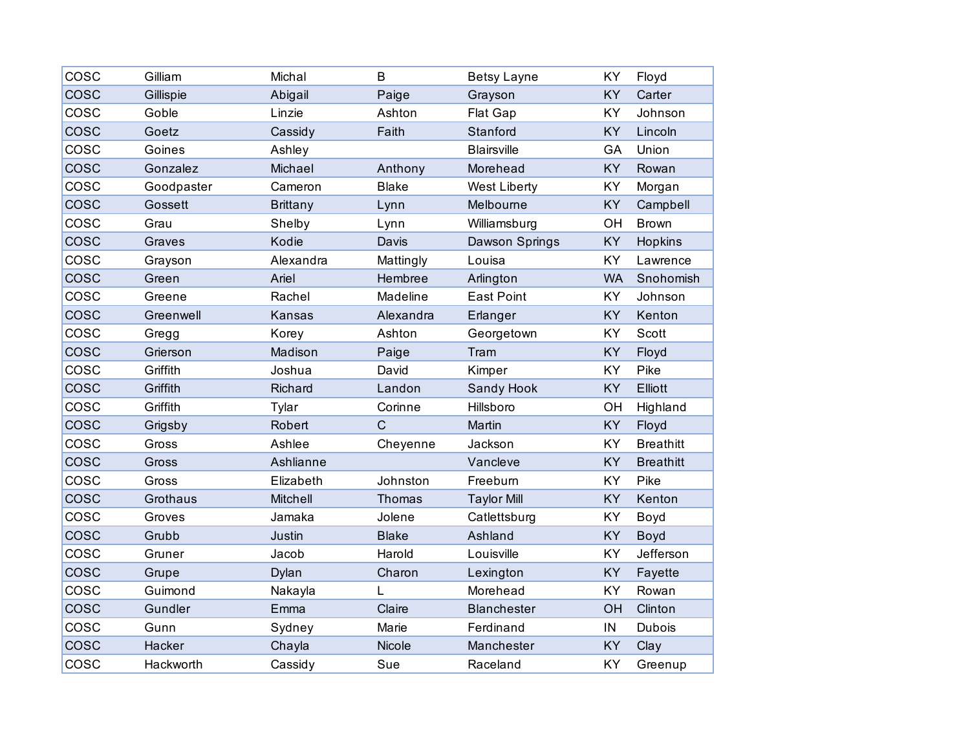| COSC        | Gilliam    | Michal          | B            | <b>Betsy Layne</b>  | KY        | Floyd            |
|-------------|------------|-----------------|--------------|---------------------|-----------|------------------|
| COSC        | Gillispie  | Abigail         | Paige        | Grayson             | KY        | Carter           |
| COSC        | Goble      | Linzie          | Ashton       | Flat Gap            | KY        | Johnson          |
| COSC        | Goetz      | Cassidy         | Faith        | Stanford            | KY        | Lincoln          |
| COSC        | Goines     | Ashley          |              | <b>Blairsville</b>  | GA        | Union            |
| <b>COSC</b> | Gonzalez   | Michael         | Anthony      | Morehead            | KY        | Rowan            |
| COSC        | Goodpaster | Cameron         | <b>Blake</b> | <b>West Liberty</b> | KY        | Morgan           |
| COSC        | Gossett    | <b>Brittany</b> | Lynn         | Melbourne           | KY        | Campbell         |
| COSC        | Grau       | Shelby          | Lynn         | Williamsburg        | OH        | <b>Brown</b>     |
| <b>COSC</b> | Graves     | Kodie           | Davis        | Dawson Springs      | KY        | Hopkins          |
| cosc        | Grayson    | Alexandra       | Mattingly    | Louisa              | KY        | Lawrence         |
| COSC        | Green      | Ariel           | Hembree      | Arlington           | <b>WA</b> | Snohomish        |
| cosc        | Greene     | Rachel          | Madeline     | <b>East Point</b>   | KY        | Johnson          |
| <b>COSC</b> | Greenwell  | Kansas          | Alexandra    | Erlanger            | <b>KY</b> | Kenton           |
| COSC        | Gregg      | Korey           | Ashton       | Georgetown          | KY        | Scott            |
| COSC        | Grierson   | Madison         | Paige        | Tram                | KY        | Floyd            |
| cosc        | Griffith   | Joshua          | David        | Kimper              | KY        | Pike             |
| cosc        | Griffith   | Richard         | Landon       | Sandy Hook          | KY        | Elliott          |
| COSC        | Griffith   | Tylar           | Corinne      | Hillsboro           | OH        | Highland         |
| COSC        | Grigsby    | Robert          | $\mathsf{C}$ | Martin              | KY        | Floyd            |
| COSC        | Gross      | Ashlee          | Cheyenne     | Jackson             | KY        | <b>Breathitt</b> |
| COSC        | Gross      | Ashlianne       |              | Vancleve            | KY        | <b>Breathitt</b> |
| COSC        | Gross      | Elizabeth       | Johnston     | Freeburn            | KY        | Pike             |
| COSC        | Grothaus   | Mitchell        | Thomas       | <b>Taylor Mill</b>  | KY        | Kenton           |
| COSC        | Groves     | Jamaka          | Jolene       | Catlettsburg        | KY        | Boyd             |
| COSC        | Grubb      | Justin          | <b>Blake</b> | Ashland             | KY        | Boyd             |
| COSC        | Gruner     | Jacob           | Harold       | Louisville          | KY        | Jefferson        |
| <b>COSC</b> | Grupe      | Dylan           | Charon       | Lexington           | KY        | Fayette          |
| COSC        | Guimond    | Nakayla         | L            | Morehead            | <b>KY</b> | Rowan            |
| <b>COSC</b> | Gundler    | Emma            | Claire       | <b>Blanchester</b>  | OH        | Clinton          |
| COSC        | Gunn       | Sydney          | Marie        | Ferdinand           | IN        | <b>Dubois</b>    |
| <b>COSC</b> | Hacker     | Chayla          | Nicole       | Manchester          | KY        | Clay             |
| COSC        | Hackworth  | Cassidy         | Sue          | Raceland            | KY        | Greenup          |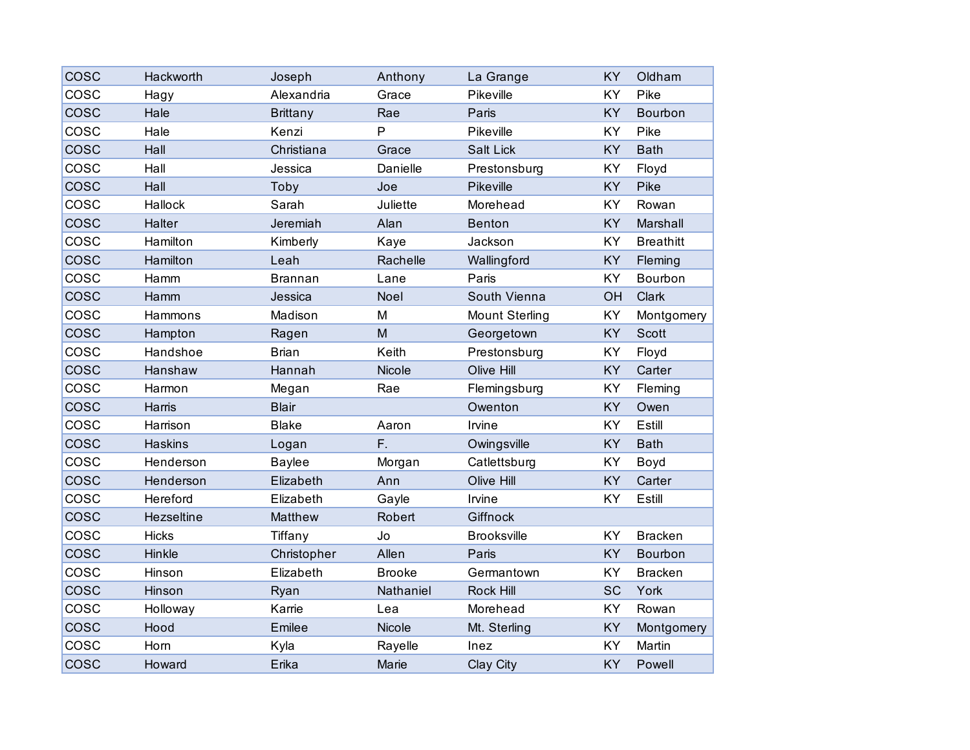| COSC        | Hackworth      | Joseph          | Anthony       | La Grange             | KY        | Oldham           |
|-------------|----------------|-----------------|---------------|-----------------------|-----------|------------------|
| COSC        | Hagy           | Alexandria      | Grace         | Pikeville             | KY        | Pike             |
| <b>COSC</b> | Hale           | <b>Brittany</b> | Rae           | Paris                 | KY        | <b>Bourbon</b>   |
| COSC        | Hale           | Kenzi           | $\mathsf{P}$  | Pikeville             | KY        | Pike             |
| <b>COSC</b> | Hall           | Christiana      | Grace         | Salt Lick             | KY        | <b>Bath</b>      |
| COSC        | Hall           | Jessica         | Danielle      | Prestonsburg          | KY        | Floyd            |
| <b>COSC</b> | Hall           | Toby            | Joe           | Pikeville             | KY        | Pike             |
| COSC        | Hallock        | Sarah           | Juliette      | Morehead              | KY        | Rowan            |
| <b>COSC</b> | Halter         | Jeremiah        | Alan          | <b>Benton</b>         | KY        | Marshall         |
| COSC        | Hamilton       | Kimberly        | Kaye          | Jackson               | KY        | <b>Breathitt</b> |
| <b>COSC</b> | Hamilton       | Leah            | Rachelle      | Wallingford           | KY        | Fleming          |
| COSC        | Hamm           | <b>Brannan</b>  | Lane          | Paris                 | KY        | Bourbon          |
| <b>COSC</b> | Hamm           | Jessica         | Noel          | South Vienna          | OH        | Clark            |
| COSC        | Hammons        | Madison         | M             | <b>Mount Sterling</b> | KY        | Montgomery       |
| <b>COSC</b> | Hampton        | Ragen           | M             | Georgetown            | KY        | Scott            |
| COSC        | Handshoe       | <b>Brian</b>    | Keith         | Prestonsburg          | KY        | Floyd            |
| <b>COSC</b> | Hanshaw        | Hannah          | Nicole        | Olive Hill            | KY        | Carter           |
| cosc        | Harmon         | Megan           | Rae           | Flemingsburg          | KY        | Fleming          |
| COSC        | Harris         | <b>Blair</b>    |               | Owenton               | KY        | Owen             |
| COSC        | Harrison       | <b>Blake</b>    | Aaron         | Irvine                | KY        | Estill           |
| <b>COSC</b> | <b>Haskins</b> | Logan           | F.            | Owingsville           | KY        | <b>Bath</b>      |
| COSC        | Henderson      | <b>Baylee</b>   | Morgan        | Catlettsburg          | KY        | Boyd             |
| cosc        | Henderson      | Elizabeth       | Ann           | Olive Hill            | KY        | Carter           |
| COSC        | Hereford       | Elizabeth       | Gayle         | Irvine                | KY        | Estill           |
| <b>COSC</b> | Hezseltine     | Matthew         | Robert        | Giffnock              |           |                  |
| COSC        | <b>Hicks</b>   | Tiffany         | Jo            | <b>Brooksville</b>    | <b>KY</b> | <b>Bracken</b>   |
| COSC        | Hinkle         | Christopher     | Allen         | Paris                 | KY        | Bourbon          |
| COSC        | Hinson         | Elizabeth       | <b>Brooke</b> | Germantown            | KY        | <b>Bracken</b>   |
| <b>COSC</b> | Hinson         | Ryan            | Nathaniel     | Rock Hill             | SC        | York             |
| cosc        | Holloway       | Karrie          | Lea           | Morehead              | KY        | Rowan            |
| <b>COSC</b> | Hood           | Emilee          | Nicole        | Mt. Sterling          | KY        | Montgomery       |
| COSC        | Horn           | Kyla            | Rayelle       | Inez                  | KY        | Martin           |
| <b>COSC</b> | Howard         | Erika           | Marie         | Clay City             | KY        | Powell           |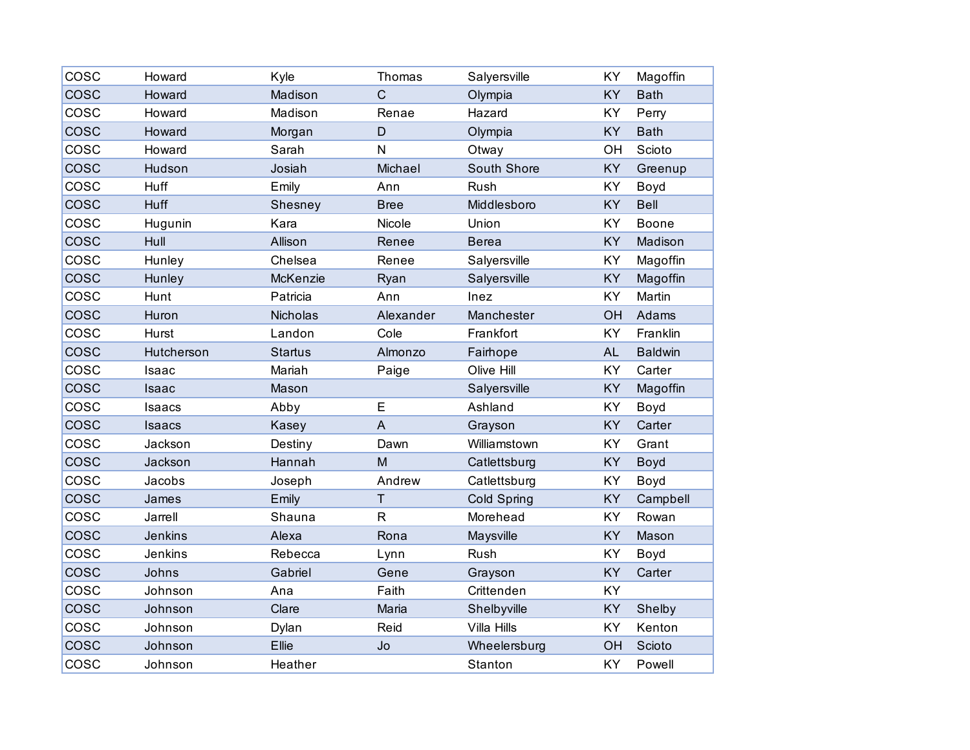| COSC        | Howard     | Kyle            | Thomas         | Salyersville | KY        | Magoffin       |
|-------------|------------|-----------------|----------------|--------------|-----------|----------------|
| COSC        | Howard     | Madison         | $\overline{C}$ | Olympia      | KY        | <b>Bath</b>    |
| COSC        | Howard     | Madison         | Renae          | Hazard       | KY        | Perry          |
| <b>COSC</b> | Howard     | Morgan          | D              | Olympia      | KY        | <b>Bath</b>    |
| COSC        | Howard     | Sarah           | N              | Otway        | OH        | Scioto         |
| <b>COSC</b> | Hudson     | Josiah          | Michael        | South Shore  | KY        | Greenup        |
| cosc        | Huff       | Emily           | Ann            | Rush         | KY        | Boyd           |
| <b>COSC</b> | Huff       | Shesney         | <b>Bree</b>    | Middlesboro  | KY        | <b>Bell</b>    |
| COSC        | Hugunin    | Kara            | Nicole         | Union        | KY        | <b>Boone</b>   |
| <b>COSC</b> | Hull       | Allison         | Renee          | <b>Berea</b> | KY        | Madison        |
| cosc        | Hunley     | Chelsea         | Renee          | Salyersville | KY        | Magoffin       |
| cosc        | Hunley     | McKenzie        | Ryan           | Salyersville | KY        | Magoffin       |
| COSC        | Hunt       | Patricia        | Ann            | Inez         | KY        | Martin         |
| <b>COSC</b> | Huron      | <b>Nicholas</b> | Alexander      | Manchester   | OH        | Adams          |
| COSC        | Hurst      | Landon          | Cole           | Frankfort    | KY        | Franklin       |
| <b>COSC</b> | Hutcherson | <b>Startus</b>  | Almonzo        | Fairhope     | <b>AL</b> | <b>Baldwin</b> |
| COSC        | Isaac      | Mariah          | Paige          | Olive Hill   | KY        | Carter         |
| cosc        | Isaac      | Mason           |                | Salyersville | KY        | Magoffin       |
| COSC        | Isaacs     | Abby            | E              | Ashland      | KY        | Boyd           |
| <b>COSC</b> | Isaacs     | Kasey           | $\mathsf{A}$   | Grayson      | KY        | Carter         |
| COSC        | Jackson    | Destiny         | Dawn           | Williamstown | KY        | Grant          |
| <b>COSC</b> | Jackson    | Hannah          | M              | Catlettsburg | KY        | Boyd           |
| COSC        | Jacobs     | Joseph          | Andrew         | Catlettsburg | KY        | Boyd           |
| COSC        | James      | Emily           | $\top$         | Cold Spring  | KY        | Campbell       |
| cosc        | Jarrell    | Shauna          | $\mathsf{R}$   | Morehead     | KY        | Rowan          |
| cosc        | Jenkins    | Alexa           | Rona           | Maysville    | KY        | Mason          |
| COSC        | Jenkins    | Rebecca         | Lynn           | Rush         | KY        | Boyd           |
| COSC        | Johns      | Gabriel         | Gene           | Grayson      | KY        | Carter         |
| cosc        | Johnson    | Ana             | Faith          | Crittenden   | <b>KY</b> |                |
| <b>COSC</b> | Johnson    | Clare           | Maria          | Shelbyville  | KY        | Shelby         |
| COSC        | Johnson    | Dylan           | Reid           | Villa Hills  | KY        | Kenton         |
| COSC        | Johnson    | Ellie           | Jo             | Wheelersburg | OH        | Scioto         |
| COSC        | Johnson    | Heather         |                | Stanton      | KY        | Powell         |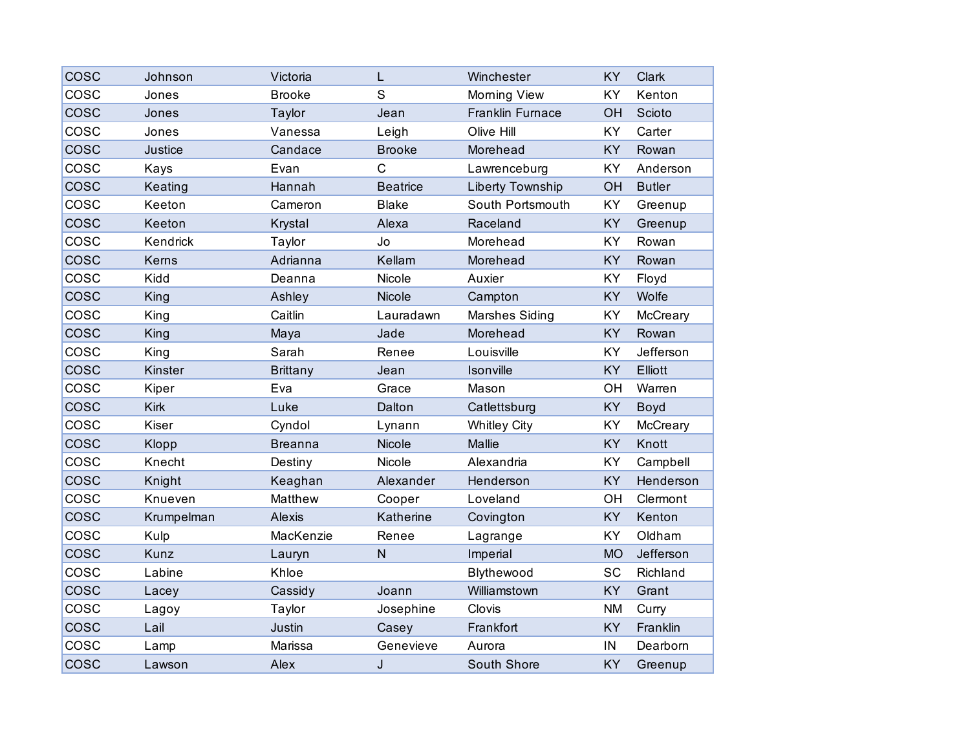| COSC | Johnson     | Victoria        | L               | Winchester              | KY        | Clark         |
|------|-------------|-----------------|-----------------|-------------------------|-----------|---------------|
| COSC | Jones       | <b>Brooke</b>   | S               | Morning View            | KY        | Kenton        |
| cosc | Jones       | Taylor          | Jean            | <b>Franklin Furnace</b> | OH        | Scioto        |
| COSC | Jones       | Vanessa         | Leigh           | Olive Hill              | KY        | Carter        |
| COSC | Justice     | Candace         | <b>Brooke</b>   | Morehead                | KY        | Rowan         |
| COSC | Kays        | Evan            | $\mathsf{C}$    | Lawrenceburg            | KY        | Anderson      |
| cosc | Keating     | Hannah          | <b>Beatrice</b> | Liberty Township        | OH        | <b>Butler</b> |
| COSC | Keeton      | Cameron         | <b>Blake</b>    | South Portsmouth        | KY        | Greenup       |
| COSC | Keeton      | Krystal         | Alexa           | Raceland                | KY        | Greenup       |
| COSC | Kendrick    | Taylor          | Jo              | Morehead                | KY        | Rowan         |
| cosc | Kerns       | Adrianna        | Kellam          | Morehead                | KY        | Rowan         |
| COSC | Kidd        | Deanna          | Nicole          | Auxier                  | KY        | Floyd         |
| COSC | King        | Ashley          | Nicole          | Campton                 | KY        | Wolfe         |
| COSC | King        | Caitlin         | Lauradawn       | <b>Marshes Siding</b>   | KY        | McCreary      |
| COSC | King        | Maya            | Jade            | Morehead                | KY        | Rowan         |
| COSC | King        | Sarah           | Renee           | Louisville              | KY        | Jefferson     |
| COSC | Kinster     | <b>Brittany</b> | Jean            | Isonville               | <b>KY</b> | Elliott       |
| COSC | Kiper       | Eva             | Grace           | Mason                   | OH        | Warren        |
| COSC | <b>Kirk</b> | Luke            | Dalton          | Catlettsburg            | KY        | Boyd          |
| COSC | Kiser       | Cyndol          | Lynann          | <b>Whitley City</b>     | KY        | McCreary      |
| COSC | Klopp       | <b>Breanna</b>  | Nicole          | Mallie                  | KY        | Knott         |
| COSC | Knecht      | Destiny         | Nicole          | Alexandria              | KY        | Campbell      |
| COSC | Knight      | Keaghan         | Alexander       | Henderson               | KY        | Henderson     |
| COSC | Knueven     | Matthew         | Cooper          | Loveland                | OH        | Clermont      |
| COSC | Krumpelman  | Alexis          | Katherine       | Covington               | KY        | Kenton        |
| COSC | Kulp        | MacKenzie       | Renee           | Lagrange                | KY        | Oldham        |
| COSC | Kunz        | Lauryn          | $\mathsf{N}$    | Imperial                | <b>MO</b> | Jefferson     |
| COSC | Labine      | Khloe           |                 | Blythewood              | SC        | Richland      |
| cosc | Lacey       | Cassidy         | Joann           | Williamstown            | <b>KY</b> | Grant         |
| cosc | Lagoy       | Taylor          | Josephine       | Clovis                  | <b>NM</b> | Curry         |
| COSC | Lail        | Justin          | Casey           | Frankfort               | <b>KY</b> | Franklin      |
| COSC | Lamp        | Marissa         | Genevieve       | Aurora                  | IN        | Dearborn      |
| COSC | Lawson      | Alex            | J               | South Shore             | KY        | Greenup       |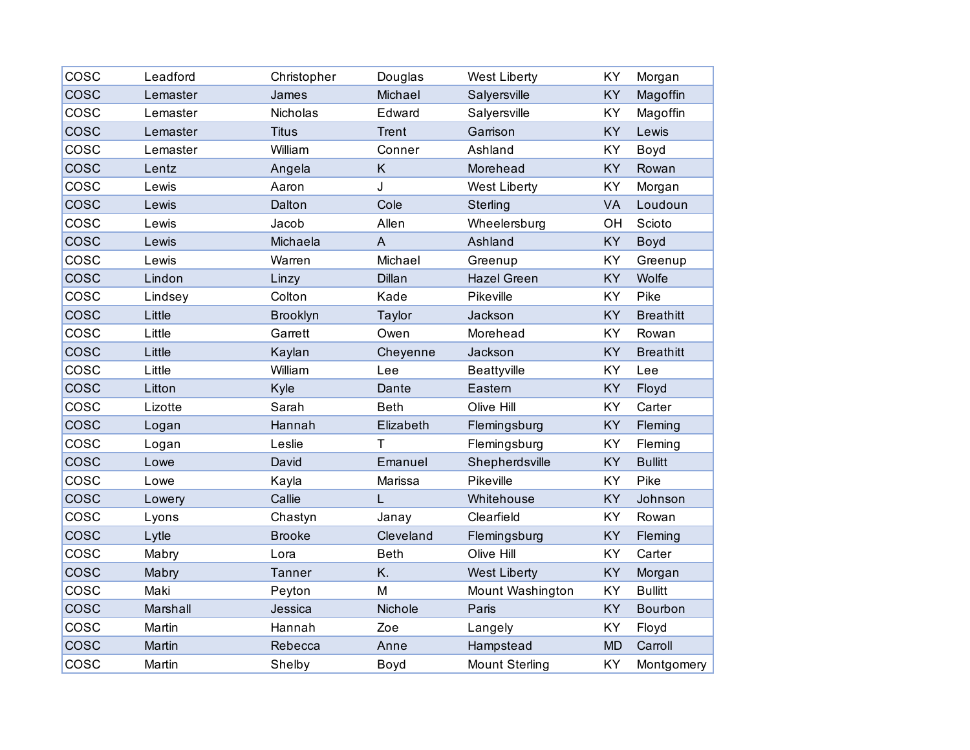| COSC        | Leadford | Christopher     | Douglas        | <b>West Liberty</b>   | KY        | Morgan           |
|-------------|----------|-----------------|----------------|-----------------------|-----------|------------------|
| COSC        | Lemaster | James           | Michael        | Salyersville          | KY        | Magoffin         |
| COSC        | Lemaster | Nicholas        | Edward         | Salyersville          | KY        | Magoffin         |
| <b>COSC</b> | Lemaster | <b>Titus</b>    | <b>Trent</b>   | Garrison              | KY        | Lewis            |
| COSC        | Lemaster | William         | Conner         | Ashland               | KY        | Boyd             |
| <b>COSC</b> | Lentz    | Angela          | Κ              | Morehead              | KY        | Rowan            |
| cosc        | Lewis    | Aaron           | J              | <b>West Liberty</b>   | KY        | Morgan           |
| <b>COSC</b> | Lewis    | Dalton          | Cole           | Sterling              | VA        | Loudoun          |
| COSC        | Lewis    | Jacob           | Allen          | Wheelersburg          | OH        | Scioto           |
| <b>COSC</b> | Lewis    | Michaela        | $\overline{A}$ | Ashland               | KY        | Boyd             |
| cosc        | Lewis    | Warren          | Michael        | Greenup               | KY        | Greenup          |
| COSC        | Lindon   | Linzy           | Dillan         | <b>Hazel Green</b>    | KY        | Wolfe            |
| COSC        | Lindsey  | Colton          | Kade           | Pikeville             | KY        | Pike             |
| <b>COSC</b> | Little   | <b>Brooklyn</b> | Taylor         | Jackson               | KY        | <b>Breathitt</b> |
| COSC        | Little   | Garrett         | Owen           | Morehead              | KY        | Rowan            |
| <b>COSC</b> | Little   | Kaylan          | Cheyenne       | Jackson               | KY        | <b>Breathitt</b> |
| COSC        | Little   | William         | Lee            | Beattyville           | KY        | Lee              |
| cosc        | Litton   | Kyle            | Dante          | Eastern               | KY        | Floyd            |
| COSC        | Lizotte  | Sarah           | <b>Beth</b>    | Olive Hill            | KY        | Carter           |
| <b>COSC</b> | Logan    | Hannah          | Elizabeth      | Flemingsburg          | KY        | Fleming          |
| COSC        | Logan    | Leslie          | T              | Flemingsburg          | KY        | Fleming          |
| <b>COSC</b> | Lowe     | David           | Emanuel        | Shepherdsville        | KY        | <b>Bullitt</b>   |
| COSC        | Lowe     | Kayla           | Marissa        | Pikeville             | KY        | Pike             |
| COSC        | Lowery   | Callie          | L              | Whitehouse            | KY        | Johnson          |
| cosc        | Lyons    | Chastyn         | Janay          | Clearfield            | KY        | Rowan            |
| <b>COSC</b> | Lytle    | <b>Brooke</b>   | Cleveland      | Flemingsburg          | KY        | Fleming          |
| COSC        | Mabry    | Lora            | <b>Beth</b>    | Olive Hill            | KY        | Carter           |
| COSC        | Mabry    | <b>Tanner</b>   | K.             | <b>West Liberty</b>   | KY        | Morgan           |
| cosc        | Maki     | Peyton          | M              | Mount Washington      | KY        | <b>Bullitt</b>   |
| <b>COSC</b> | Marshall | Jessica         | Nichole        | Paris                 | KY        | Bourbon          |
| COSC        | Martin   | Hannah          | Zoe            | Langely               | KY        | Floyd            |
| COSC        | Martin   | Rebecca         | Anne           | Hampstead             | <b>MD</b> | Carroll          |
| COSC        | Martin   | Shelby          | Boyd           | <b>Mount Sterling</b> | KY        | Montgomery       |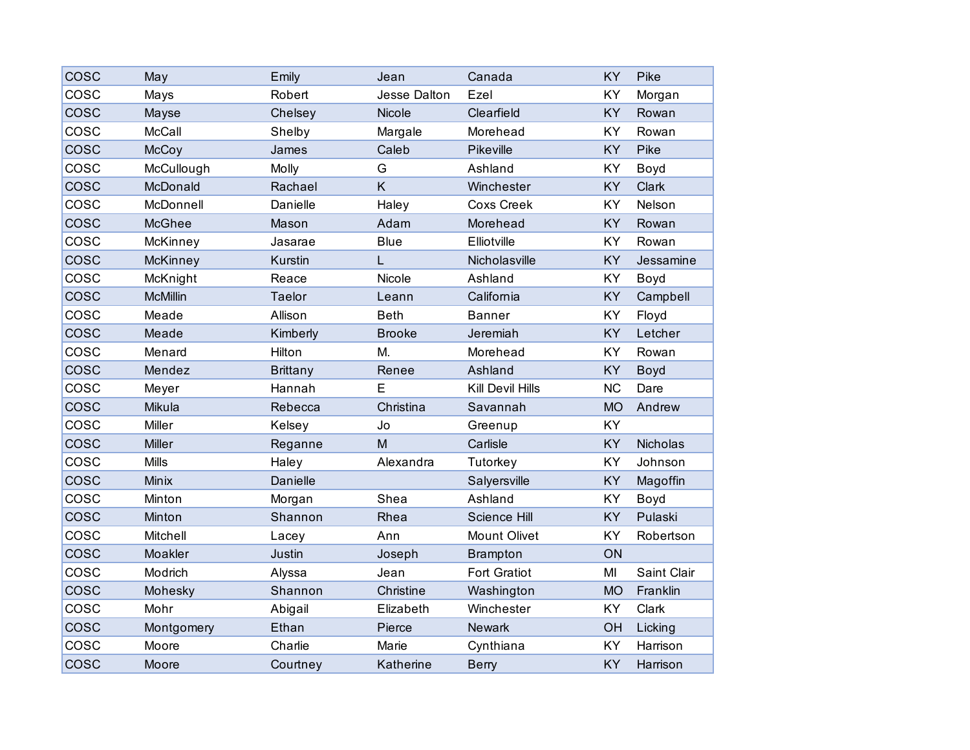| COSC        | May             | Emily           | Jean                | Canada              | KY        | Pike        |
|-------------|-----------------|-----------------|---------------------|---------------------|-----------|-------------|
| COSC        | Mays            | Robert          | <b>Jesse Dalton</b> | Ezel                | KY        | Morgan      |
| COSC        | Mayse           | Chelsey         | Nicole              | Clearfield          | KY        | Rowan       |
| COSC        | McCall          | Shelby          | Margale             | Morehead            | KY        | Rowan       |
| COSC        | McCoy           | James           | Caleb               | Pikeville           | KY        | Pike        |
| COSC        | McCullough      | Molly           | G                   | Ashland             | KY        | Boyd        |
| <b>COSC</b> | McDonald        | Rachael         | K                   | Winchester          | KY        | Clark       |
| COSC        | McDonnell       | Danielle        | Haley               | <b>Coxs Creek</b>   | KY        | Nelson      |
| <b>COSC</b> | <b>McGhee</b>   | Mason           | Adam                | Morehead            | KY        | Rowan       |
| COSC        | McKinney        | Jasarae         | <b>Blue</b>         | Elliotville         | <b>KY</b> | Rowan       |
| <b>COSC</b> | McKinney        | Kurstin         | L                   | Nicholasville       | KY        | Jessamine   |
| COSC        | McKnight        | Reace           | Nicole              | Ashland             | KY        | Boyd        |
| <b>COSC</b> | <b>McMillin</b> | Taelor          | Leann               | California          | KY        | Campbell    |
| COSC        | Meade           | Allison         | <b>Beth</b>         | <b>Banner</b>       | KY        | Floyd       |
| <b>COSC</b> | Meade           | Kimberly        | <b>Brooke</b>       | Jeremiah            | KY        | Letcher     |
| COSC        | Menard          | Hilton          | М.                  | Morehead            | KY        | Rowan       |
| <b>COSC</b> | Mendez          | <b>Brittany</b> | Renee               | Ashland             | KY        | Boyd        |
| COSC        | Meyer           | Hannah          | E                   | Kill Devil Hills    | <b>NC</b> | Dare        |
| COSC        | Mikula          | Rebecca         | Christina           | Savannah            | <b>MO</b> | Andrew      |
| COSC        | Miller          | Kelsey          | Jo                  | Greenup             | KY        |             |
| <b>COSC</b> | <b>Miller</b>   | Reganne         | M                   | Carlisle            | KY        | Nicholas    |
| COSC        | <b>Mills</b>    | Haley           | Alexandra           | Tutorkey            | KY        | Johnson     |
| COSC        | Minix           | Danielle        |                     | Salyersville        | KY        | Magoffin    |
| COSC        | Minton          | Morgan          | Shea                | Ashland             | KY        | Boyd        |
| <b>COSC</b> | Minton          | Shannon         | Rhea                | Science Hill        | KY        | Pulaski     |
| cosc        | Mitchell        | Lacey           | Ann                 | <b>Mount Olivet</b> | KY        | Robertson   |
| COSC        | Moakler         | <b>Justin</b>   | Joseph              | <b>Brampton</b>     | ON        |             |
| cosc        | Modrich         | Alyssa          | Jean                | <b>Fort Gratiot</b> | MI        | Saint Clair |
| <b>COSC</b> | Mohesky         | Shannon         | Christine           | Washington          | <b>MO</b> | Franklin    |
| cosc        | Mohr            | Abigail         | Elizabeth           | Winchester          | KY        | Clark       |
| COSC        | Montgomery      | Ethan           | Pierce              | Newark              | OH        | Licking     |
| COSC        | Moore           | Charlie         | Marie               | Cynthiana           | KY        | Harrison    |
| <b>COSC</b> | Moore           | Courtney        | Katherine           | <b>Berry</b>        | KY        | Harrison    |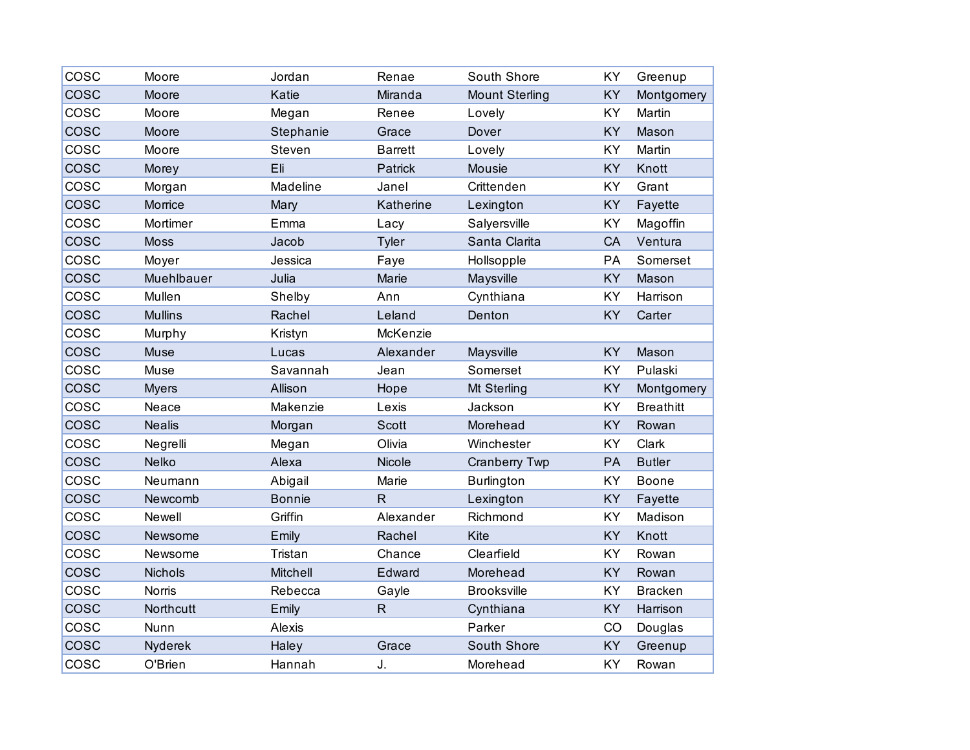| COSC        | Moore          | Jordan        | Renae          | South Shore           | KY | Greenup          |
|-------------|----------------|---------------|----------------|-----------------------|----|------------------|
| <b>COSC</b> | Moore          | Katie         | Miranda        | <b>Mount Sterling</b> | KY | Montgomery       |
| COSC        | Moore          | Megan         | Renee          | Lovely                | KY | Martin           |
| cosc        | Moore          | Stephanie     | Grace          | Dover                 | KY | Mason            |
| COSC        | Moore          | Steven        | <b>Barrett</b> | Lovely                | KY | Martin           |
| <b>COSC</b> | Morey          | Eli           | Patrick        | <b>Mousie</b>         | KY | Knott            |
| COSC        | Morgan         | Madeline      | Janel          | Crittenden            | KY | Grant            |
| COSC        | Morrice        | Mary          | Katherine      | Lexington             | KY | Fayette          |
| COSC        | Mortimer       | Emma          | Lacy           | Salyersville          | KY | Magoffin         |
| <b>COSC</b> | <b>Moss</b>    | Jacob         | Tyler          | Santa Clarita         | CA | Ventura          |
| COSC        | Moyer          | Jessica       | Faye           | Hollsopple            | PA | Somerset         |
| <b>COSC</b> | Muehlbauer     | Julia         | Marie          | Maysville             | KY | Mason            |
| cosc        | Mullen         | Shelby        | Ann            | Cynthiana             | KY | Harrison         |
| cosc        | <b>Mullins</b> | Rachel        | Leland         | Denton                | KY | Carter           |
| COSC        | Murphy         | Kristyn       | McKenzie       |                       |    |                  |
| COSC        | Muse           | Lucas         | Alexander      | Maysville             | KY | Mason            |
| cosc        | Muse           | Savannah      | Jean           | Somerset              | KY | Pulaski          |
| cosc        | <b>Myers</b>   | Allison       | Hope           | Mt Sterling           | KY | Montgomery       |
| cosc        | Neace          | Makenzie      | Lexis          | Jackson               | KY | <b>Breathitt</b> |
| <b>COSC</b> | <b>Nealis</b>  | Morgan        | <b>Scott</b>   | Morehead              | KY | Rowan            |
| COSC        | Negrelli       | Megan         | Olivia         | Winchester            | KY | Clark            |
| COSC        | <b>Nelko</b>   | Alexa         | Nicole         | <b>Cranberry Twp</b>  | PA | <b>Butler</b>    |
| COSC        | Neumann        | Abigail       | Marie          | <b>Burlington</b>     | KY | Boone            |
| <b>COSC</b> | Newcomb        | <b>Bonnie</b> | $\mathsf{R}$   | Lexington             | KY | Fayette          |
| COSC        | Newell         | Griffin       | Alexander      | Richmond              | KY | Madison          |
| <b>COSC</b> | Newsome        | Emily         | Rachel         | Kite                  | KY | Knott            |
| COSC        | Newsome        | Tristan       | Chance         | Clearfield            | KY | Rowan            |
| cosc        | Nichols        | Mitchell      | Edward         | Morehead              | KY | Rowan            |
| cosc        | <b>Norris</b>  | Rebecca       | Gayle          | <b>Brooksville</b>    | KY | <b>Bracken</b>   |
| <b>COSC</b> | Northcutt      | Emily         | $\mathsf{R}$   | Cynthiana             | KY | Harrison         |
| COSC        | Nunn           | Alexis        |                | Parker                | CO | Douglas          |
| COSC        | Nyderek        | Haley         | Grace          | South Shore           | KY | Greenup          |
| COSC        | O'Brien        | Hannah        | J.             | Morehead              | KY | Rowan            |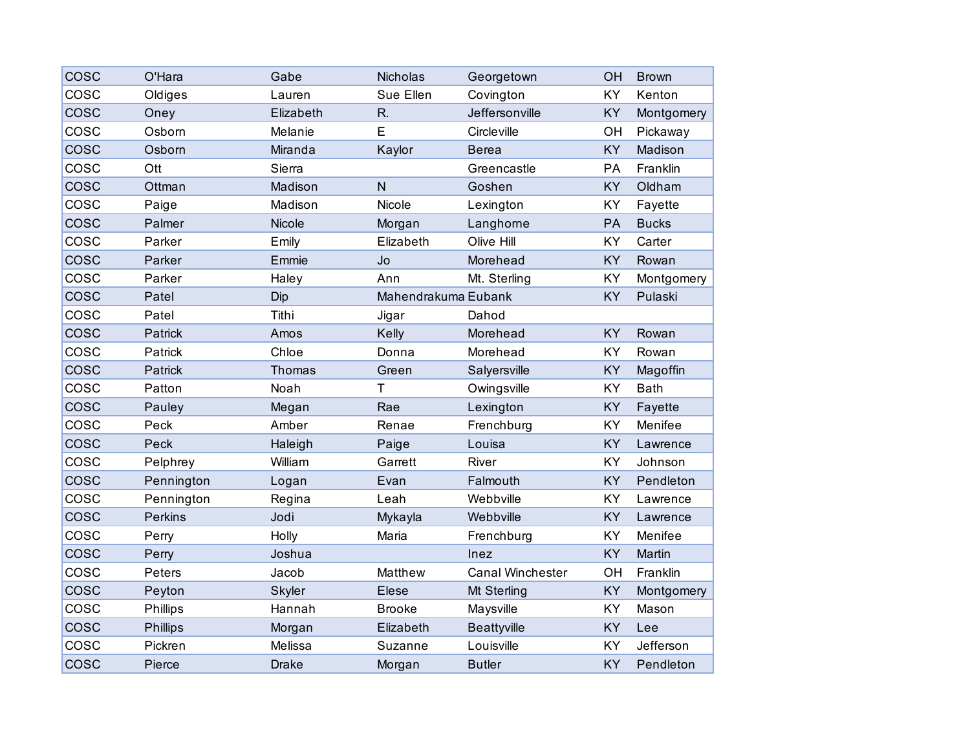| COSC        | O'Hara          | Gabe         | Nicholas            | Georgetown         | OH        | <b>Brown</b> |
|-------------|-----------------|--------------|---------------------|--------------------|-----------|--------------|
| COSC        | Oldiges         | Lauren       | Sue Ellen           | Covington          | <b>KY</b> | Kenton       |
| COSC        | Oney            | Elizabeth    | R.                  | Jeffersonville     | <b>KY</b> | Montgomery   |
| COSC        | Osborn          | Melanie      | E                   | Circleville        | OH        | Pickaway     |
| COSC        | Osborn          | Miranda      | Kaylor              | <b>Berea</b>       | KY        | Madison      |
| COSC        | Ott             | Sierra       |                     | Greencastle        | PA        | Franklin     |
| cosc        | Ottman          | Madison      | $\overline{N}$      | Goshen             | KY        | Oldham       |
| COSC        | Paige           | Madison      | Nicole              | Lexington          | <b>KY</b> | Fayette      |
| <b>COSC</b> | Palmer          | Nicole       | Morgan              | Langhorne          | PA        | <b>Bucks</b> |
| COSC        | Parker          | Emily        | Elizabeth           | Olive Hill         | <b>KY</b> | Carter       |
| cosc        | Parker          | Emmie        | Jo                  | Morehead           | <b>KY</b> | Rowan        |
| COSC        | Parker          | Haley        | Ann                 | Mt. Sterling       | <b>KY</b> | Montgomery   |
| <b>COSC</b> | Patel           | Dip          | Mahendrakuma Eubank |                    | <b>KY</b> | Pulaski      |
| COSC        | Patel           | Tithi        | Jigar               | Dahod              |           |              |
| cosc        | Patrick         | Amos         | Kelly               | Morehead           | <b>KY</b> | Rowan        |
| COSC        | Patrick         | Chloe        | Donna               | Morehead           | KY        | Rowan        |
| <b>COSC</b> | Patrick         | Thomas       | Green               | Salyersville       | <b>KY</b> | Magoffin     |
| COSC        | Patton          | Noah         | $\mathsf T$         | Owingsville        | <b>KY</b> | <b>Bath</b>  |
| COSC        | Pauley          | Megan        | Rae                 | Lexington          | KY        | Fayette      |
| COSC        | Peck            | Amber        | Renae               | Frenchburg         | KY        | Menifee      |
| <b>COSC</b> | Peck            | Haleigh      | Paige               | Louisa             | <b>KY</b> | Lawrence     |
| COSC        | Pelphrey        | William      | Garrett             | River              | <b>KY</b> | Johnson      |
| COSC        | Pennington      | Logan        | Evan                | Falmouth           | <b>KY</b> | Pendleton    |
| COSC        | Pennington      | Regina       | Leah                | Webbville          | KY        | Lawrence     |
| cosc        | <b>Perkins</b>  | Jodi         | Mykayla             | Webbville          | <b>KY</b> | Lawrence     |
| COSC        | Perry           | Holly        | Maria               | Frenchburg         | KY        | Menifee      |
| COSC        | Perry           | Joshua       |                     | Inez               | <b>KY</b> | Martin       |
| COSC        | Peters          | Jacob        | Matthew             | Canal Winchester   | OH        | Franklin     |
| <b>COSC</b> | Peyton          | Skyler       | <b>Elese</b>        | Mt Sterling        | KY        | Montgomery   |
| COSC        | Phillips        | Hannah       | <b>Brooke</b>       | Maysville          | <b>KY</b> | Mason        |
| COSC        | <b>Phillips</b> | Morgan       | Elizabeth           | <b>Beattyville</b> | <b>KY</b> | Lee          |
| COSC        | Pickren         | Melissa      | Suzanne             | Louisville         | <b>KY</b> | Jefferson    |
| cosc        | Pierce          | <b>Drake</b> | Morgan              | <b>Butler</b>      | KY        | Pendleton    |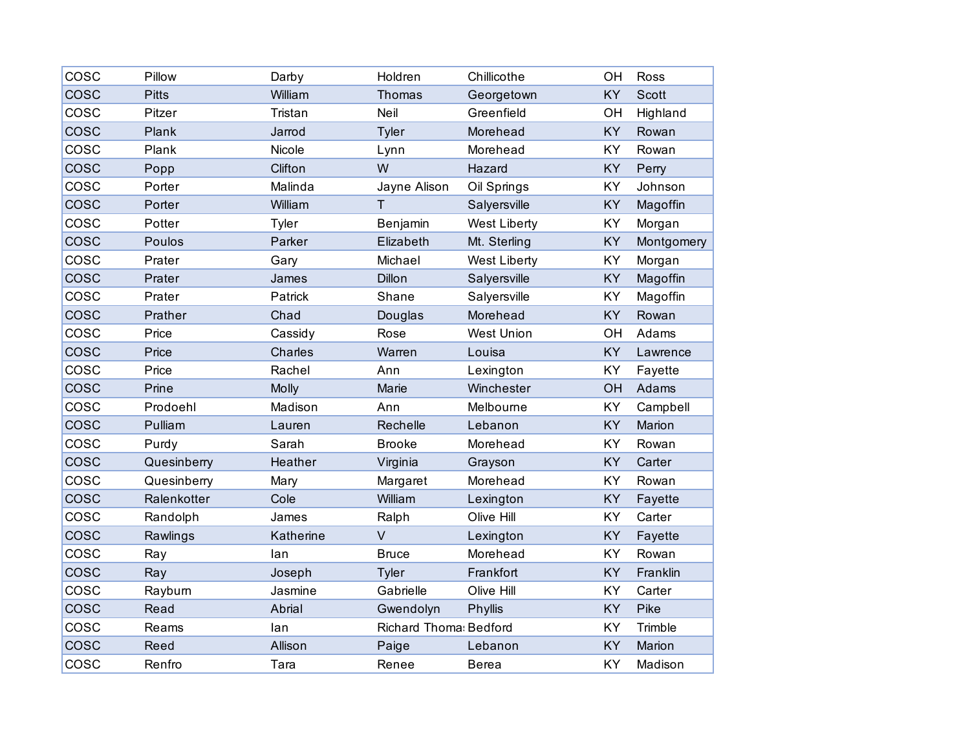| COSC        | Pillow       | Darby     | Holdren                       | Chillicothe         | OH        | Ross         |
|-------------|--------------|-----------|-------------------------------|---------------------|-----------|--------------|
| COSC        | <b>Pitts</b> | William   | Thomas                        | Georgetown          | KY        | <b>Scott</b> |
| COSC        | Pitzer       | Tristan   | Neil                          | Greenfield          | OH        | Highland     |
| <b>COSC</b> | Plank        | Jarrod    | Tyler                         | Morehead            | <b>KY</b> | Rowan        |
| COSC        | Plank        | Nicole    | Lynn                          | Morehead            | KY        | Rowan        |
| <b>COSC</b> | Popp         | Clifton   | W                             | Hazard              | KY        | Perry        |
| cosc        | Porter       | Malinda   | Jayne Alison                  | Oil Springs         | KY        | Johnson      |
| <b>COSC</b> | Porter       | William   | T                             | Salyersville        | <b>KY</b> | Magoffin     |
| COSC        | Potter       | Tyler     | Benjamin                      | <b>West Liberty</b> | KY        | Morgan       |
| <b>COSC</b> | Poulos       | Parker    | Elizabeth                     | Mt. Sterling        | KY        | Montgomery   |
| cosc        | Prater       | Gary      | Michael                       | <b>West Liberty</b> | KY        | Morgan       |
| cosc        | Prater       | James     | Dillon                        | Salyersville        | KY        | Magoffin     |
| cosc        | Prater       | Patrick   | Shane                         | Salyersville        | KY        | Magoffin     |
| <b>COSC</b> | Prather      | Chad      | Douglas                       | Morehead            | KY        | Rowan        |
| COSC        | Price        | Cassidy   | Rose                          | <b>West Union</b>   | OH        | Adams        |
| cosc        | Price        | Charles   | Warren                        | Louisa              | KY        | Lawrence     |
| cosc        | Price        | Rachel    | Ann                           | Lexington           | KY        | Fayette      |
| cosc        | Prine        | Molly     | Marie                         | Winchester          | OH        | Adams        |
| COSC        | Prodoehl     | Madison   | Ann                           | Melbourne           | KY        | Campbell     |
| cosc        | Pulliam      | Lauren    | Rechelle                      | Lebanon             | KY        | Marion       |
| COSC        | Purdy        | Sarah     | <b>Brooke</b>                 | Morehead            | KY        | Rowan        |
| <b>COSC</b> | Quesinberry  | Heather   | Virginia                      | Grayson             | KY        | Carter       |
| COSC        | Quesinberry  | Mary      | Margaret                      | Morehead            | KY        | Rowan        |
| <b>COSC</b> | Ralenkotter  | Cole      | William                       | Lexington           | KY        | Fayette      |
| cosc        | Randolph     | James     | Ralph                         | Olive Hill          | KY        | Carter       |
| cosc        | Rawlings     | Katherine | $\vee$                        | Lexington           | <b>KY</b> | Fayette      |
| COSC        | Ray          | lan       | <b>Bruce</b>                  | Morehead            | KY        | Rowan        |
| <b>COSC</b> | Ray          | Joseph    | <b>Tyler</b>                  | Frankfort           | KY        | Franklin     |
| cosc        | Rayburn      | Jasmine   | Gabrielle                     | Olive Hill          | <b>KY</b> | Carter       |
| cosc        | Read         | Abrial    | Gwendolyn                     | Phyllis             | <b>KY</b> | Pike         |
| COSC        | Reams        | lan       | <b>Richard Thoma: Bedford</b> |                     | KY        | Trimble      |
| <b>COSC</b> | Reed         | Allison   | Paige                         | Lebanon             | KY        | Marion       |
| COSC        | Renfro       | Tara      | Renee                         | <b>Berea</b>        | KY        | Madison      |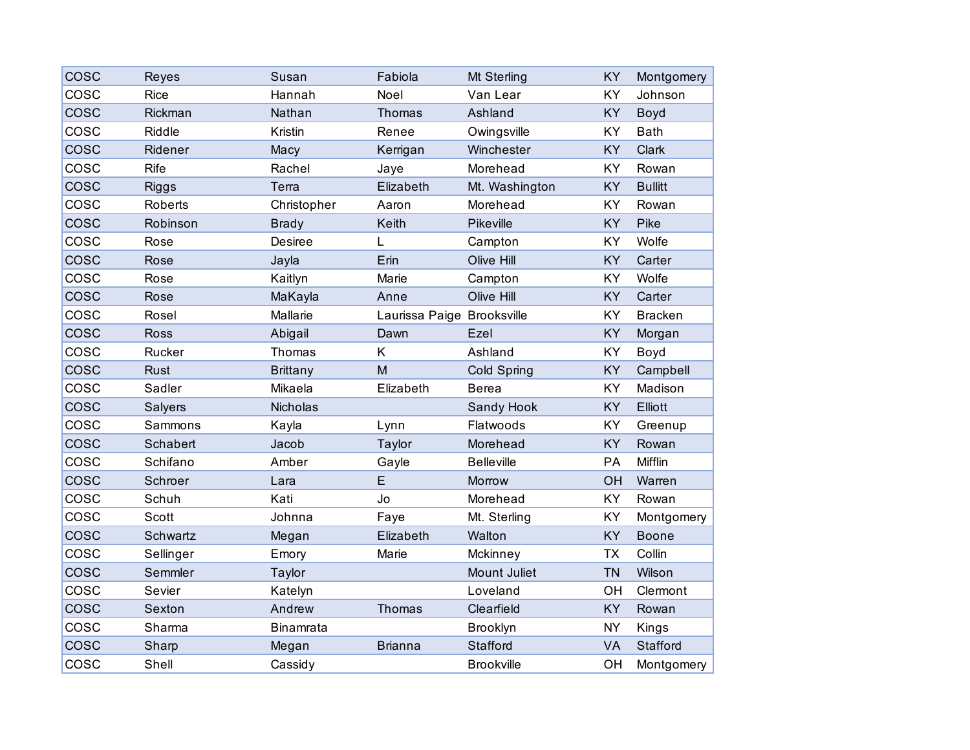| <b>COSC</b> | Reyes        | Susan            | Fabiola                    | Mt Sterling       | KY        | Montgomery      |
|-------------|--------------|------------------|----------------------------|-------------------|-----------|-----------------|
| COSC        | <b>Rice</b>  | Hannah           | Noel                       | Van Lear          | KY        | Johnson         |
| cosc        | Rickman      | Nathan           | Thomas                     | Ashland           | KY        | Boyd            |
| COSC        | Riddle       | Kristin          | Renee                      | Owingsville       | KY        | <b>Bath</b>     |
| <b>COSC</b> | Ridener      | Macy             | Kerrigan                   | Winchester        | KY        | Clark           |
| COSC        | <b>Rife</b>  | Rachel           | Jaye                       | Morehead          | KY        | Rowan           |
| COSC        | <b>Riggs</b> | Terra            | Elizabeth                  | Mt. Washington    | KY        | <b>Bullitt</b>  |
| cosc        | Roberts      | Christopher      | Aaron                      | Morehead          | KY        | Rowan           |
| <b>COSC</b> | Robinson     | <b>Brady</b>     | Keith                      | Pikeville         | KY        | Pike            |
| COSC        | Rose         | <b>Desiree</b>   | L                          | Campton           | KY        | Wolfe           |
| <b>COSC</b> | Rose         | Jayla            | Erin                       | Olive Hill        | KY        | Carter          |
| COSC        | Rose         | Kaitlyn          | Marie                      | Campton           | KY        | Wolfe           |
| cosc        | Rose         | MaKayla          | Anne                       | Olive Hill        | KY        | Carter          |
| COSC        | Rosel        | Mallarie         | Laurissa Paige Brooksville |                   | KY        | <b>Bracken</b>  |
| <b>COSC</b> | <b>Ross</b>  | Abigail          | Dawn                       | Ezel              | KY        | Morgan          |
| COSC        | Rucker       | Thomas           | K                          | Ashland           | KY        | Boyd            |
| <b>COSC</b> | Rust         | <b>Brittany</b>  | M                          | Cold Spring       | KY        | Campbell        |
| cosc        | Sadler       | Mikaela          | Elizabeth                  | <b>Berea</b>      | KY        | Madison         |
| COSC        | Salyers      | Nicholas         |                            | Sandy Hook        | KY        | Elliott         |
| COSC        | Sammons      | Kayla            | Lynn                       | Flatwoods         | KY        | Greenup         |
| <b>COSC</b> | Schabert     | Jacob            | Taylor                     | Morehead          | <b>KY</b> | Rowan           |
| COSC        | Schifano     | Amber            | Gayle                      | <b>Belleville</b> | PA        | Mifflin         |
| cosc        | Schroer      | Lara             | E                          | Morrow            | OH        | Warren          |
| COSC        | Schuh        | Kati             | Jo                         | Morehead          | KY        | Rowan           |
| COSC        | Scott        | Johnna           | Faye                       | Mt. Sterling      | KY        | Montgomery      |
| COSC        | Schwartz     | Megan            | Elizabeth                  | Walton            | KY        | <b>Boone</b>    |
| COSC        | Sellinger    | Emory            | Marie                      | Mckinney          | <b>TX</b> | Collin          |
| <b>COSC</b> | Semmler      | Taylor           |                            | Mount Juliet      | <b>TN</b> | Wilson          |
| COSC        | Sevier       | Katelyn          |                            | Loveland          | OH        | Clermont        |
| <b>COSC</b> | Sexton       | Andrew           | Thomas                     | Clearfield        | KY        | Rowan           |
| COSC        | Sharma       | <b>Binamrata</b> |                            | Brooklyn          | <b>NY</b> | Kings           |
| COSC        | Sharp        | Megan            | <b>Brianna</b>             | Stafford          | <b>VA</b> | <b>Stafford</b> |
| cosc        | Shell        | Cassidy          |                            | <b>Brookville</b> | OH        | Montgomery      |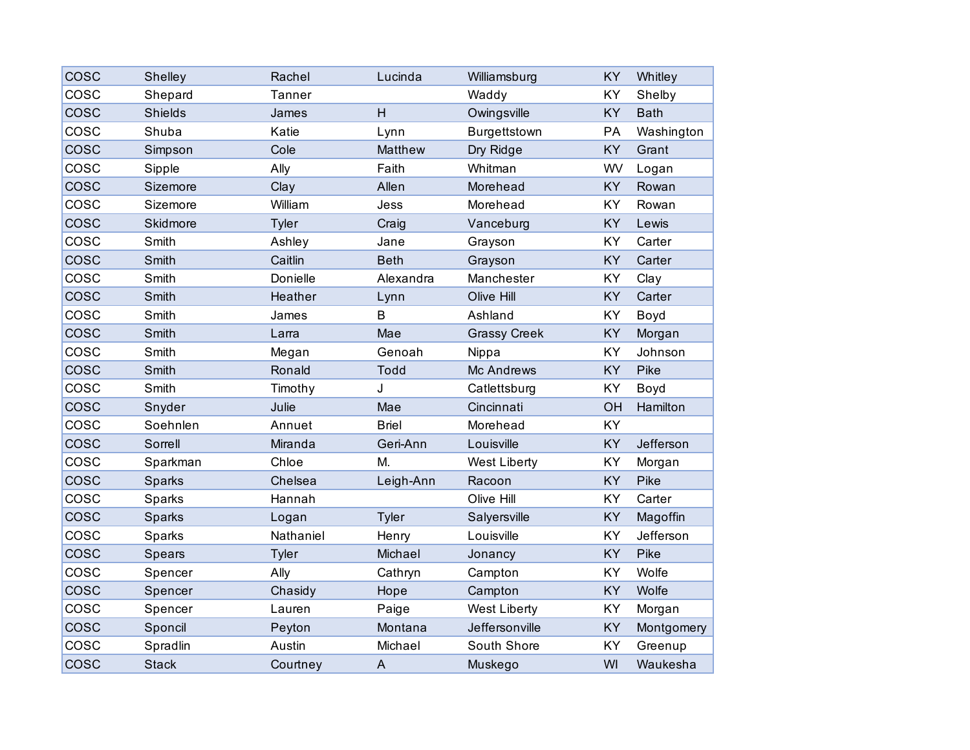| COSC        | Shelley        | Rachel       | Lucinda        | Williamsburg        | KY        | Whitley     |
|-------------|----------------|--------------|----------------|---------------------|-----------|-------------|
| cosc        | Shepard        | Tanner       |                | Waddy               | KY        | Shelby      |
| COSC        | <b>Shields</b> | James        | H.             | Owingsville         | KY        | <b>Bath</b> |
| COSC        | Shuba          | Katie        | Lynn           | Burgettstown        | PA        | Washington  |
| COSC        | Simpson        | Cole         | Matthew        | Dry Ridge           | KY        | Grant       |
| COSC        | Sipple         | Ally         | Faith          | Whitman             | WV        | Logan       |
| COSC        | Sizemore       | Clay         | Allen          | Morehead            | KY        | Rowan       |
| COSC        | Sizemore       | William      | Jess           | Morehead            | KY        | Rowan       |
| cosc        | Skidmore       | Tyler        | Craig          | Vanceburg           | KY        | Lewis       |
| COSC        | Smith          | Ashley       | Jane           | Grayson             | KY        | Carter      |
| cosc        | Smith          | Caitlin      | <b>Beth</b>    | Grayson             | KY        | Carter      |
| COSC        | Smith          | Donielle     | Alexandra      | Manchester          | KY        | Clay        |
| <b>COSC</b> | Smith          | Heather      | Lynn           | Olive Hill          | KY        | Carter      |
| COSC        | Smith          | James        | B              | Ashland             | KY        | Boyd        |
| <b>COSC</b> | Smith          | Larra        | Mae            | <b>Grassy Creek</b> | KY        | Morgan      |
| COSC        | Smith          | Megan        | Genoah         | Nippa               | KY        | Johnson     |
| cosc        | Smith          | Ronald       | <b>Todd</b>    | Mc Andrews          | KY        | Pike        |
| cosc        | Smith          | Timothy      | J              | Catlettsburg        | KY        | Boyd        |
| COSC        | Snyder         | Julie        | Mae            | Cincinnati          | OH        | Hamilton    |
| COSC        | Soehnlen       | Annuet       | <b>Briel</b>   | Morehead            | KY        |             |
| <b>COSC</b> | Sorrell        | Miranda      | Geri-Ann       | Louisville          | KY        | Jefferson   |
| COSC        | Sparkman       | Chloe        | M.             | <b>West Liberty</b> | KY        | Morgan      |
| COSC        | Sparks         | Chelsea      | Leigh-Ann      | Racoon              | KY        | Pike        |
| COSC        | Sparks         | Hannah       |                | Olive Hill          | KY        | Carter      |
| <b>COSC</b> | Sparks         | Logan        | Tyler          | Salyersville        | KY        | Magoffin    |
| cosc        | Sparks         | Nathaniel    | Henry          | Louisville          | KY        | Jefferson   |
| COSC        | Spears         | <b>Tyler</b> | Michael        | Jonancy             | KY        | Pike        |
| cosc        | Spencer        | Ally         | Cathryn        | Campton             | KY        | Wolfe       |
| <b>COSC</b> | Spencer        | Chasidy      | Hope           | Campton             | <b>KY</b> | Wolfe       |
| cosc        | Spencer        | Lauren       | Paige          | <b>West Liberty</b> | KY        | Morgan      |
| COSC        | Sponcil        | Peyton       | Montana        | Jeffersonville      | KY        | Montgomery  |
| COSC        | Spradlin       | Austin       | Michael        | South Shore         | KY        | Greenup     |
| <b>COSC</b> | <b>Stack</b>   | Courtney     | $\overline{A}$ | Muskego             | WI        | Waukesha    |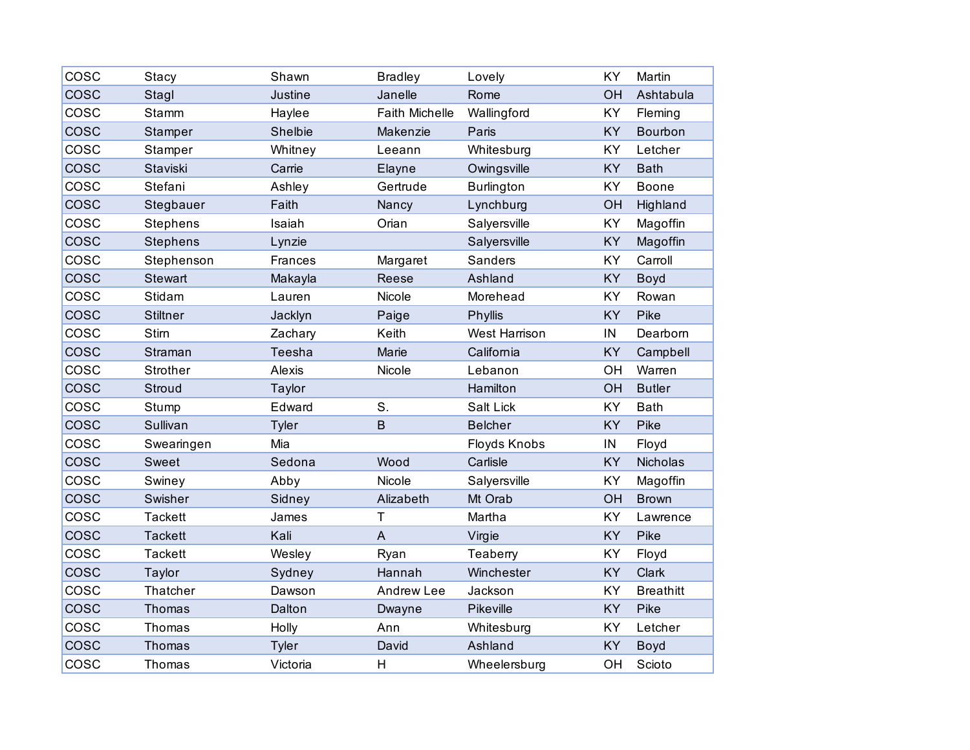| COSC        | <b>Stacy</b>    | Shawn         | <b>Bradley</b>        | Lovely               | KY        | Martin           |
|-------------|-----------------|---------------|-----------------------|----------------------|-----------|------------------|
| <b>COSC</b> | Stagl           | Justine       | Janelle               | Rome                 | OH        | Ashtabula        |
| COSC        | Stamm           | Haylee        | <b>Faith Michelle</b> | Wallingford          | KY        | Fleming          |
| COSC        | Stamper         | Shelbie       | Makenzie              | Paris                | KY        | Bourbon          |
| COSC        | Stamper         | Whitney       | Leeann                | Whitesburg           | KY        | Letcher          |
| COSC        | Staviski        | Carrie        | Elayne                | Owingsville          | <b>KY</b> | <b>Bath</b>      |
| COSC        | Stefani         | Ashley        | Gertrude              | <b>Burlington</b>    | KY        | Boone            |
| COSC        | Stegbauer       | Faith         | Nancy                 | Lynchburg            | OH        | Highland         |
| <b>COSC</b> | Stephens        | Isaiah        | Orian                 | Salyersville         | KY        | Magoffin         |
| <b>COSC</b> | <b>Stephens</b> | Lynzie        |                       | Salyersville         | <b>KY</b> | Magoffin         |
| COSC        | Stephenson      | Frances       | Margaret              | Sanders              | KY        | Carroll          |
| COSC        | <b>Stewart</b>  | Makayla       | Reese                 | Ashland              | KY        | Boyd             |
| cosc        | Stidam          | Lauren        | Nicole                | Morehead             | KY        | Rowan            |
| cosc        | <b>Stiltner</b> | Jacklyn       | Paige                 | Phyllis              | <b>KY</b> | Pike             |
| cosc        | Stirn           | Zachary       | Keith                 | <b>West Harrison</b> | IN        | Dearborn         |
| COSC        | Straman         | <b>Teesha</b> | Marie                 | California           | KY        | Campbell         |
| COSC        | Strother        | Alexis        | Nicole                | Lebanon              | OH        | Warren           |
| cosc        | Stroud          | Taylor        |                       | Hamilton             | OH        | <b>Butler</b>    |
| COSC        | Stump           | Edward        | S.                    | Salt Lick            | KY        | <b>Bath</b>      |
| COSC        | Sullivan        | Tyler         | B                     | <b>Belcher</b>       | KY        | Pike             |
| COSC        | Swearingen      | Mia           |                       | Floyds Knobs         | IN        | Floyd            |
| <b>COSC</b> | Sweet           | Sedona        | Wood                  | Carlisle             | KY        | Nicholas         |
| COSC        | Swiney          | Abby          | Nicole                | Salyersville         | KY        | Magoffin         |
| cosc        | Swisher         | Sidney        | Alizabeth             | Mt Orab              | OH        | <b>Brown</b>     |
| COSC        | <b>Tackett</b>  | James         | T                     | Martha               | KY        | Lawrence         |
| cosc        | <b>Tackett</b>  | Kali          | $\overline{A}$        | Virgie               | KY        | Pike             |
| COSC        | <b>Tackett</b>  | Wesley        | Ryan                  | Teaberry             | KY        | Floyd            |
| cosc        | Taylor          | Sydney        | Hannah                | Winchester           | KY        | Clark            |
| COSC        | Thatcher        | Dawson        | Andrew Lee            | Jackson              | KY        | <b>Breathitt</b> |
| cosc        | <b>Thomas</b>   | Dalton        | Dwayne                | Pikeville            | KY        | Pike             |
| COSC        | Thomas          | Holly         | Ann                   | Whitesburg           | KY        | Letcher          |
| <b>COSC</b> | Thomas          | <b>Tyler</b>  | David                 | Ashland              | KY        | Boyd             |
| COSC        | Thomas          | Victoria      | H                     | Wheelersburg         | OH        | Scioto           |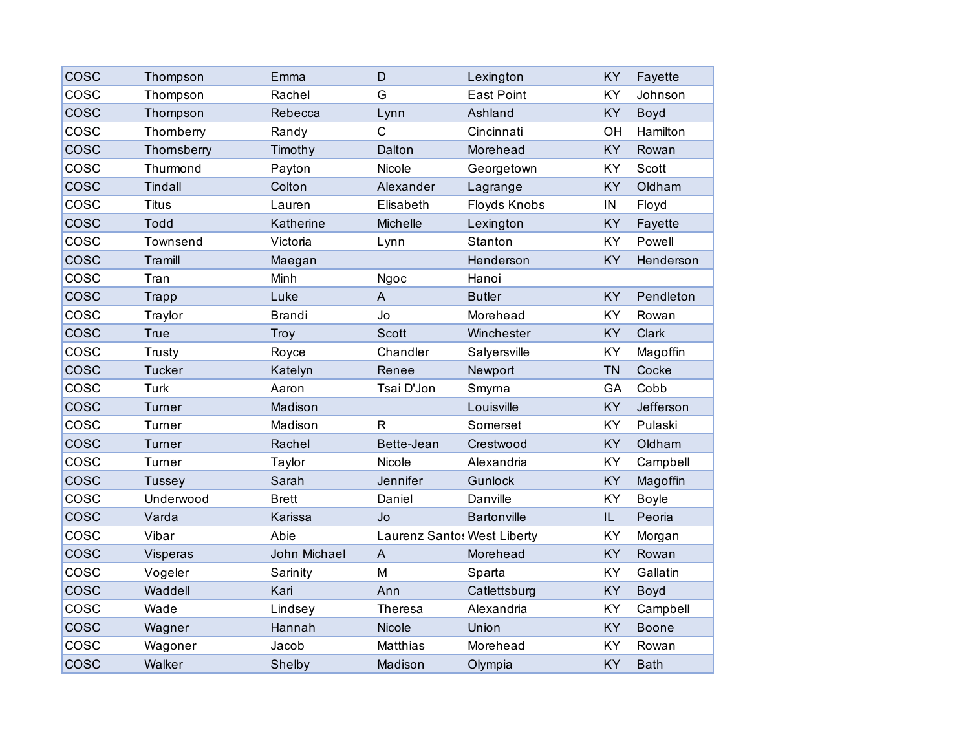| <b>COSC</b> | Thompson       | Emma          | D            | Lexington                   | KY        | Fayette      |
|-------------|----------------|---------------|--------------|-----------------------------|-----------|--------------|
| COSC        | Thompson       | Rachel        | G            | <b>East Point</b>           | KY        | Johnson      |
| <b>COSC</b> | Thompson       | Rebecca       | Lynn         | Ashland                     | KY        | Boyd         |
| COSC        | Thomberry      | Randy         | C            | Cincinnati                  | OH        | Hamilton     |
| <b>COSC</b> | Thornsberry    | Timothy       | Dalton       | Morehead                    | KY        | Rowan        |
| cosc        | Thurmond       | Payton        | Nicole       | Georgetown                  | KY        | Scott        |
| cosc        | <b>Tindall</b> | Colton        | Alexander    | Lagrange                    | <b>KY</b> | Oldham       |
| COSC        | <b>Titus</b>   | Lauren        | Elisabeth    | Floyds Knobs                | IN        | Floyd        |
| <b>COSC</b> | Todd           | Katherine     | Michelle     | Lexington                   | KY        | Fayette      |
| COSC        | Townsend       | Victoria      | Lynn         | Stanton                     | <b>KY</b> | Powell       |
| <b>COSC</b> | <b>Tramill</b> | Maegan        |              | Henderson                   | <b>KY</b> | Henderson    |
| COSC        | Tran           | Minh          | Ngoc         | Hanoi                       |           |              |
| <b>COSC</b> | <b>Trapp</b>   | Luke          | A            | <b>Butler</b>               | KY        | Pendleton    |
| cosc        | Traylor        | <b>Brandi</b> | Jo           | Morehead                    | <b>KY</b> | Rowan        |
| <b>COSC</b> | <b>True</b>    | Troy          | <b>Scott</b> | Winchester                  | <b>KY</b> | Clark        |
| COSC        | Trusty         | Royce         | Chandler     | Salyersville                | KY        | Magoffin     |
| <b>COSC</b> | <b>Tucker</b>  | Katelyn       | Renee        | Newport                     | <b>TN</b> | Cocke        |
| cosc        | Turk           | Aaron         | Tsai D'Jon   | Smyrna                      | GA        | Cobb         |
| <b>COSC</b> | Turner         | Madison       |              | Louisville                  | <b>KY</b> | Jefferson    |
| COSC        | Turner         | Madison       | $\mathsf{R}$ | Somerset                    | KY        | Pulaski      |
| <b>COSC</b> | Turner         | Rachel        | Bette-Jean   | Crestwood                   | KY        | Oldham       |
| COSC        | Turner         | Taylor        | Nicole       | Alexandria                  | KY        | Campbell     |
| <b>COSC</b> | Tussey         | Sarah         | Jennifer     | <b>Gunlock</b>              | KY        | Magoffin     |
| COSC        | Underwood      | <b>Brett</b>  | Daniel       | Danville                    | KY        | <b>Boyle</b> |
| <b>COSC</b> | Varda          | Karissa       | Jo           | <b>Bartonville</b>          | IL        | Peoria       |
| cosc        | Vibar          | Abie          |              | Laurenz Santos West Liberty | KY        | Morgan       |
| <b>COSC</b> | Visperas       | John Michael  | A            | Morehead                    | KY        | Rowan        |
| cosc        | Vogeler        | Sarinity      | M            | Sparta                      | KY        | Gallatin     |
| <b>COSC</b> | Waddell        | Kari          | Ann          | Catlettsburg                | KY        | Boyd         |
| cosc        | Wade           | Lindsey       | Theresa      | Alexandria                  | KY        | Campbell     |
| <b>COSC</b> | Wagner         | Hannah        | Nicole       | Union                       | <b>KY</b> | <b>Boone</b> |
| COSC        | Wagoner        | Jacob         | Matthias     | Morehead                    | KY        | Rowan        |
| <b>COSC</b> | Walker         | Shelby        | Madison      | Olympia                     | KY        | <b>Bath</b>  |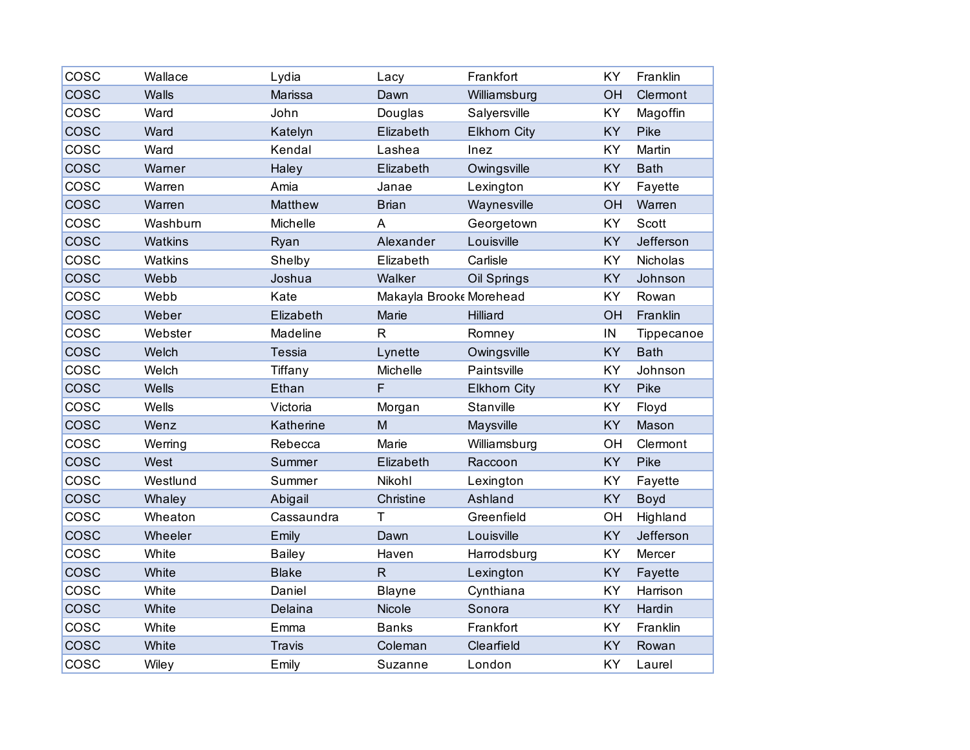| COSC        | Wallace  | Lydia         | Lacy                    | Frankfort           | KY | Franklin    |
|-------------|----------|---------------|-------------------------|---------------------|----|-------------|
| COSC        | Walls    | Marissa       | Dawn                    | Williamsburg        | OH | Clermont    |
| COSC        | Ward     | John          | Douglas                 | Salyersville        | KY | Magoffin    |
| COSC        | Ward     | Katelyn       | Elizabeth               | <b>Elkhorn City</b> | KY | Pike        |
| COSC        | Ward     | Kendal        | Lashea                  | Inez                | KY | Martin      |
| COSC        | Warner   | Haley         | Elizabeth               | Owingsville         | KY | <b>Bath</b> |
| COSC        | Warren   | Amia          | Janae                   | Lexington           | KY | Fayette     |
| COSC        | Warren   | Matthew       | <b>Brian</b>            | Waynesville         | OH | Warren      |
| COSC        | Washburn | Michelle      | A                       | Georgetown          | KY | Scott       |
| COSC        | Watkins  | Ryan          | Alexander               | Louisville          | KY | Jefferson   |
| cosc        | Watkins  | Shelby        | Elizabeth               | Carlisle            | KY | Nicholas    |
| COSC        | Webb     | Joshua        | Walker                  | Oil Springs         | KY | Johnson     |
| cosc        | Webb     | Kate          | Makayla Brooke Morehead |                     | KY | Rowan       |
| COSC        | Weber    | Elizabeth     | Marie                   | Hilliard            | OH | Franklin    |
| COSC        | Webster  | Madeline      | $\mathsf{R}$            | Romney              | IN | Tippecanoe  |
| COSC        | Welch    | <b>Tessia</b> | Lynette                 | Owingsville         | KY | <b>Bath</b> |
| cosc        | Welch    | Tiffany       | Michelle                | Paintsville         | KY | Johnson     |
| COSC        | Wells    | Ethan         | F                       | <b>Elkhorn City</b> | KY | Pike        |
| COSC        | Wells    | Victoria      | Morgan                  | Stanville           | KY | Floyd       |
| COSC        | Wenz     | Katherine     | M                       | Maysville           | KY | Mason       |
| COSC        | Werring  | Rebecca       | Marie                   | Williamsburg        | OH | Clermont    |
| COSC        | West     | Summer        | Elizabeth               | Raccoon             | KY | Pike        |
| COSC        | Westlund | Summer        | Nikohl                  | Lexington           | KY | Fayette     |
| COSC        | Whaley   | Abigail       | Christine               | Ashland             | KY | Boyd        |
| COSC        | Wheaton  | Cassaundra    | T                       | Greenfield          | OH | Highland    |
| COSC        | Wheeler  | Emily         | Dawn                    | Louisville          | KY | Jefferson   |
| COSC        | White    | <b>Bailey</b> | Haven                   | Harrodsburg         | KY | Mercer      |
| <b>COSC</b> | White    | <b>Blake</b>  | $\mathsf{R}$            | Lexington           | KY | Fayette     |
| COSC        | White    | Daniel        | <b>Blayne</b>           | Cynthiana           | KY | Harrison    |
| <b>COSC</b> | White    | Delaina       | Nicole                  | Sonora              | KY | Hardin      |
| COSC        | White    | Emma          | <b>Banks</b>            | Frankfort           | KY | Franklin    |
| COSC        | White    | <b>Travis</b> | Coleman                 | Clearfield          | KY | Rowan       |
| COSC        | Wiley    | Emily         | Suzanne                 | London              | KY | Laurel      |